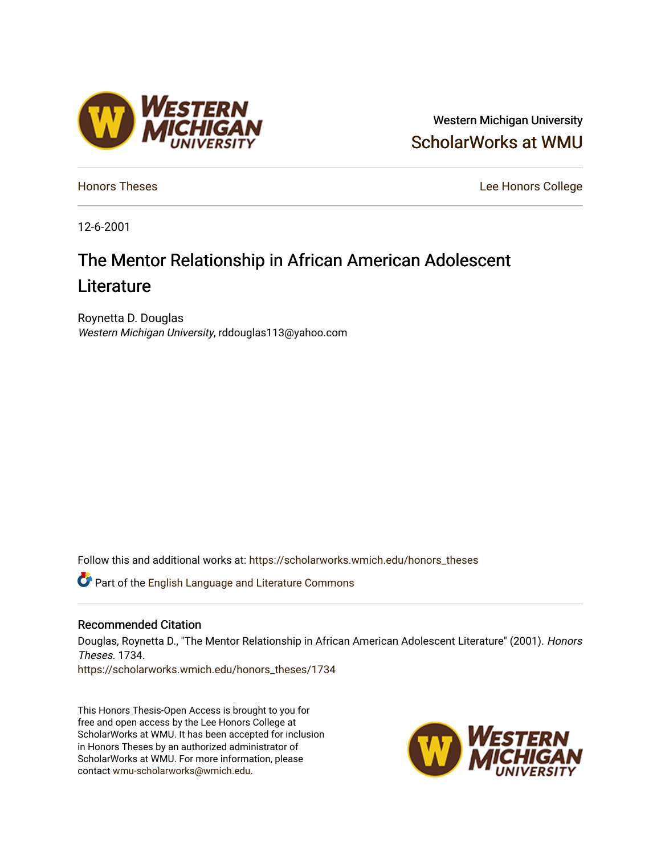### Western Michigan University [ScholarWorks at WMU](https://scholarworks.wmich.edu/)

**[Honors Theses](https://scholarworks.wmich.edu/honors_theses)** Lee Honors College

12-6-2001

# The Mentor Relationship in African American Adolescent **Literature**

Roynetta D. Douglas Western Michigan University, rddouglas113@yahoo.com

Follow this and additional works at: [https://scholarworks.wmich.edu/honors\\_theses](https://scholarworks.wmich.edu/honors_theses?utm_source=scholarworks.wmich.edu%2Fhonors_theses%2F1734&utm_medium=PDF&utm_campaign=PDFCoverPages)

Part of the [English Language and Literature Commons](http://network.bepress.com/hgg/discipline/455?utm_source=scholarworks.wmich.edu%2Fhonors_theses%2F1734&utm_medium=PDF&utm_campaign=PDFCoverPages)

#### Recommended Citation

Douglas, Roynetta D., "The Mentor Relationship in African American Adolescent Literature" (2001). Honors Theses. 1734.

[https://scholarworks.wmich.edu/honors\\_theses/1734](https://scholarworks.wmich.edu/honors_theses/1734?utm_source=scholarworks.wmich.edu%2Fhonors_theses%2F1734&utm_medium=PDF&utm_campaign=PDFCoverPages) 

This Honors Thesis-Open Access is brought to you for free and open access by the Lee Honors College at ScholarWorks at WMU. It has been accepted for inclusion in Honors Theses by an authorized administrator of ScholarWorks at WMU. For more information, please contact [wmu-scholarworks@wmich.edu](mailto:wmu-scholarworks@wmich.edu).



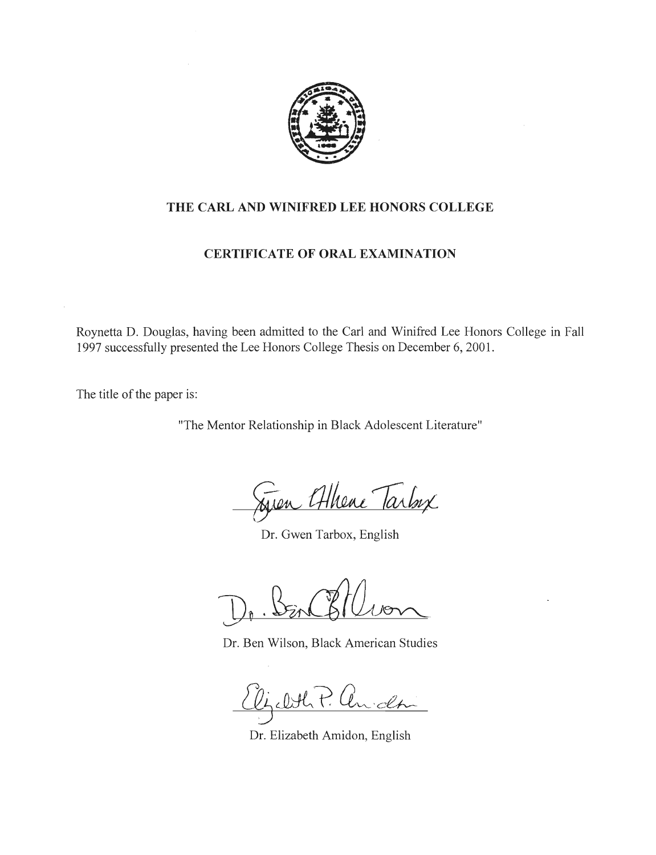

### *THE CARL AND WINIFRED LEE HONORS COLLEGE*

### *CERTIFICATE OF ORAL EXAMINATION*

Roynetta D. Douglas, having been admitted to the Carl and Winifred Lee Honors College in Fall 1997 successfully presented the Lee Honors College Thesis on December 6, 2001.

The title of the paper is:

"The Mentor Relationship in Black Adolescent Literature"

Alhene Tarby Juen

Dr. Gwen Tarbox, English

Dr. Ben Wilson, Black American Studies

 $\underline{\mathcal{U}}$  jebb P. Chrisland

Dr. Elizabeth Amidon, English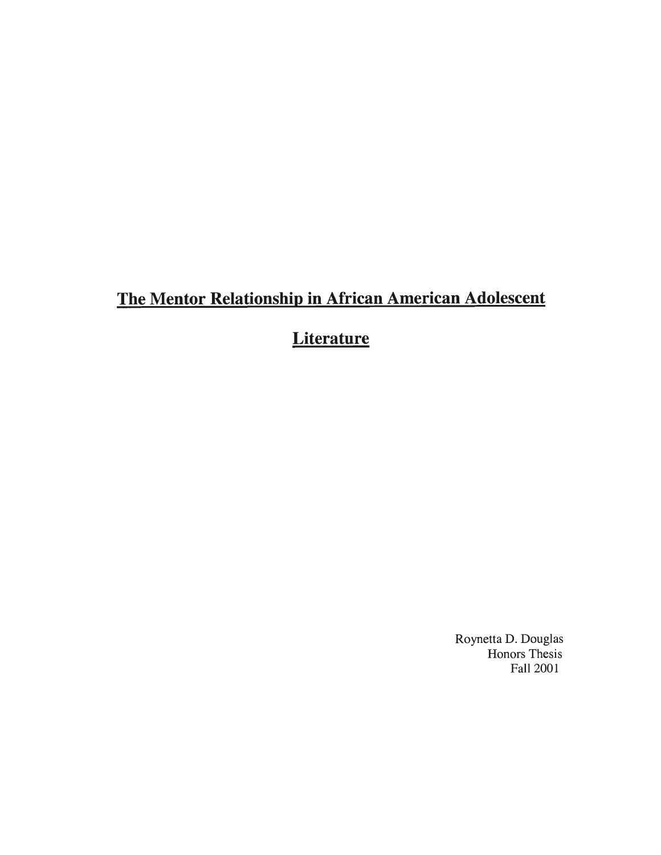# *The Mentor Relationship in African American Adolescent*

## *Literature*

Roynetta D. Douglas Honors Thesis Fall 2001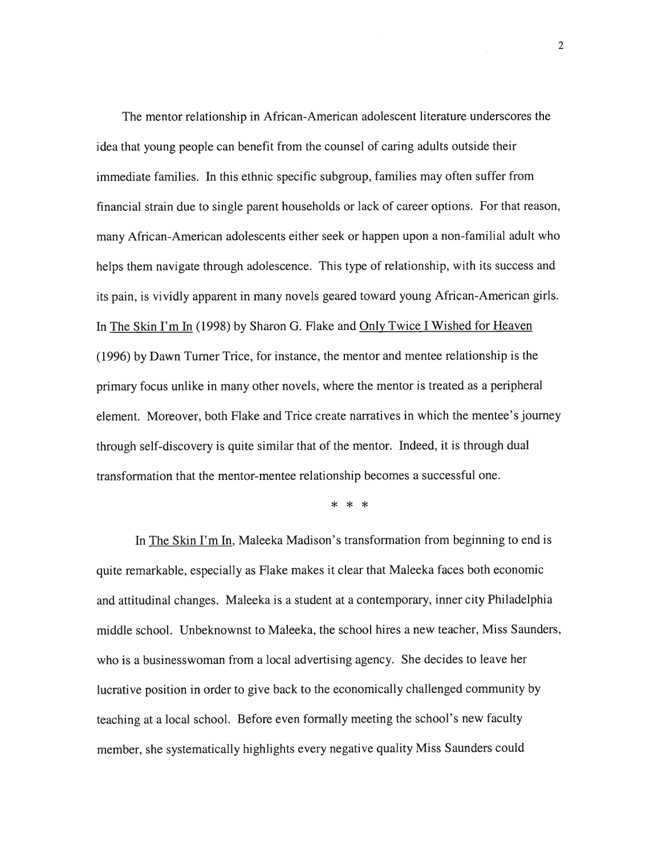The mentor relationship in African-American adolescent literature underscores the idea that young people can benefit from the counsel of caring adults outside their immediate families. In this ethnic specific subgroup, families may often suffer from financial strain due to single parent households or lack of career options. For that reason, many African-American adolescents either seek or happen upon a non-familial adult who helps them navigate through adolescence. This type of relationship, with its success and its pain, is vividly apparent in many novels geared toward young African-American girls. In The Skin I'm In (1998) by Sharon G. Flake and Only Twice I Wished for Heaven (1996) by Dawn Turner Trice, for instance, the mentor and mentee relationship is the primary focus unlike in many other novels, where the mentor is treated as a peripheral element. Moreover, both Flake and Trice create narratives in which the mentee's journey through self-discovery is quite similar that of the mentor. Indeed, it is through dual transformation that the mentor-mentee relationship becomes a successful one.

*\* \* \**

In The Skin I'm In, Maleeka Madison's transformation from beginning to end is quite remarkable, especially as Flake makes it clear that Maleeka faces both economic and attitudinal changes. Maleeka is a student at a contemporary, inner city Philadelphia middle school. Unbeknownst to Maleeka, the school hires a new teacher, Miss Saunders, who is a businesswoman from a local advertising agency. She decides to leave her lucrative position in order to give back to the economically challenged community by teachingat a local school. Before even formally meeting the school's new faculty member, she systematically highlights every negative quality Miss Saunders could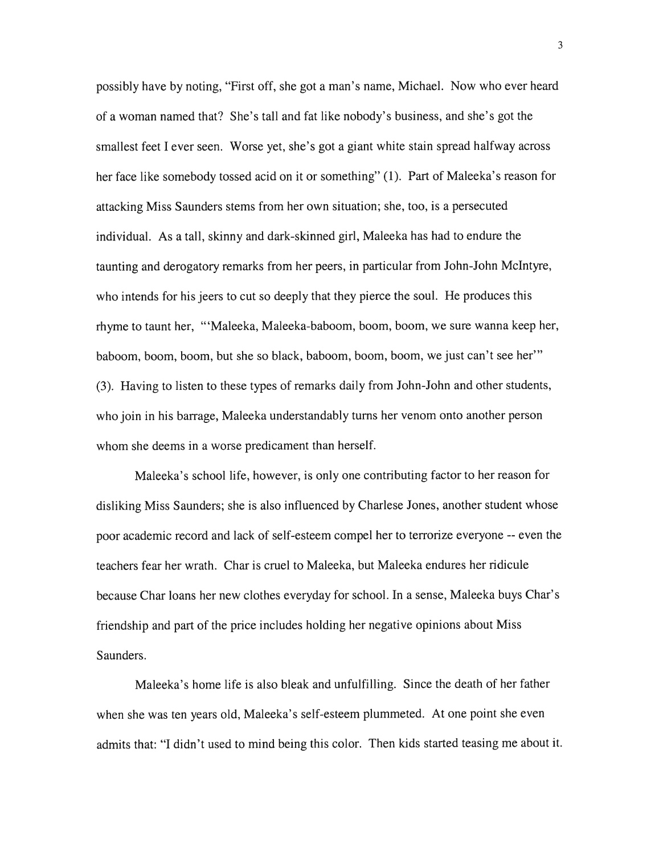possibly have by noting, "First off, she got a man's name, Michael. Now who ever heard of a woman named that? She's tall and fat like nobody's business, and she's got the smallest feet I ever seen. Worse yet, she's got a giant white stain spread halfway across her face like somebody tossed acid on it or something" (1). Part of Maleeka's reason for attacking Miss Saunders stems from her own situation; she, too, is a persecuted individual. As a tall, skinny and dark-skinned girl, Maleeka has had to endure the taunting and derogatory remarks from her peers, in particular from John-John Mclntyre, who intends for his jeers to cut so deeply that they pierce the soul. He produces this rhyme to taunt her, '"Maleeka, Maleeka-baboom, boom, boom, we sure wanna keep her, baboom, boom, boom, but she so black, baboom, boom, boom, we just can't see her'" (3). Having to listen to these types of remarks daily from John-John and other students, who join in his barrage, Maleeka understandably turns her venom onto another person whom she deems in a worse predicament than herself.

Maleeka's school life, however, is only one contributing factor to her reason for disliking Miss Saunders; she is also influenced by Charlese Jones, another student whose poor academic record and lack of self-esteem compel her to terrorize everyone -- even the teachers fear her wrath. Char is cruel to Maleeka, but Maleeka endures her ridicule because Char loans her new clothes everyday for school. In a sense, Maleeka buys Char's friendship and part of the price includes holding her negative opinions about Miss Saunders.

Maleeka's home life is also bleak and unfulfilling. Since the death of her father when she was ten years old, Maleeka's self-esteem plummeted. At one point she even admits that: "I didn't used to mind being this color. Then kids started teasing me about it.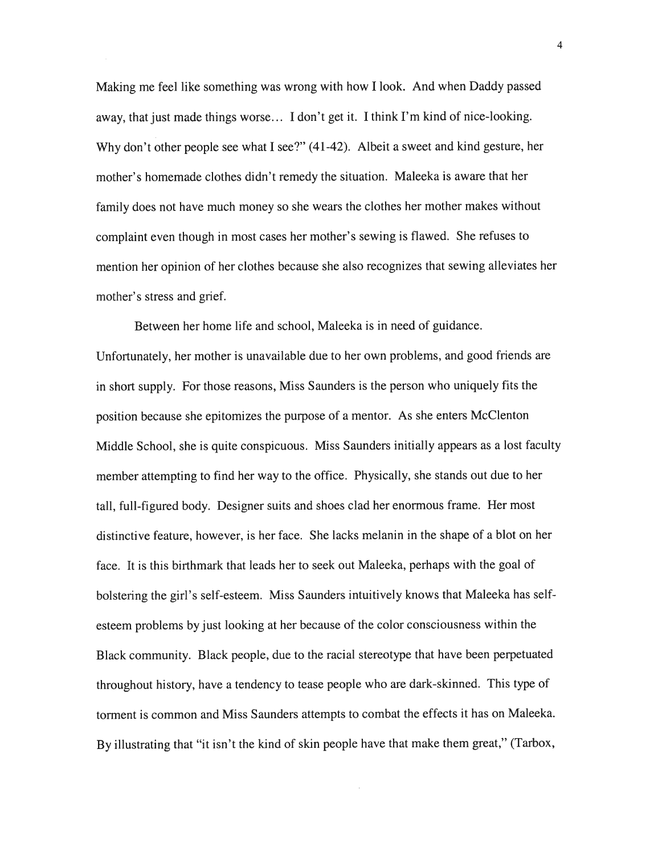Making me feel like something was wrong with how I look. And when Daddy passed away, that just made things worse... I don't get it. I think I'm kind of nice-looking. Why don't other people see what I see?" (41-42). Albeit a sweet and kind gesture, her mother's homemade clothes didn't remedy the situation. Maleeka is aware that her family does not have much money so she wears the clothes her mother makes without complaint even though in most cases her mother's sewing is flawed. She refuses to mention her opinion of her clothes because she also recognizes that sewing alleviates her mother's stress and grief.

Between her home life and school, Maleeka is in need of guidance. Unfortunately, her mother is unavailable due to her own problems, and good friends are in short supply. For those reasons, Miss Saunders is the person who uniquely fits the position because she epitomizes the purpose of a mentor. As she enters McClenton Middle School, she is quite conspicuous. Miss Saunders initially appears as a lost faculty member attempting to find her way to the office. Physically, she stands out due to her tall, full-figured body. Designer suits and shoes clad her enormous frame. Her most distinctive feature, however, is her face. She lacks melanin in the shape of a blot on her face. It is this birthmark that leads her to seek out Maleeka, perhaps with the goal of bolstering the girl's self-esteem. Miss Saunders intuitively knows that Maleeka has selfesteem problems by just looking at her because of the color consciousness within the Black community. Black people, due to the racial stereotype that have been perpetuated throughout history, have a tendency to tease people who are dark-skinned. This type of torment is common and Miss Saunders attempts to combat the effects it has on Maleeka. By illustrating that "it isn't the kind of skin people have that make them great," (Tarbox,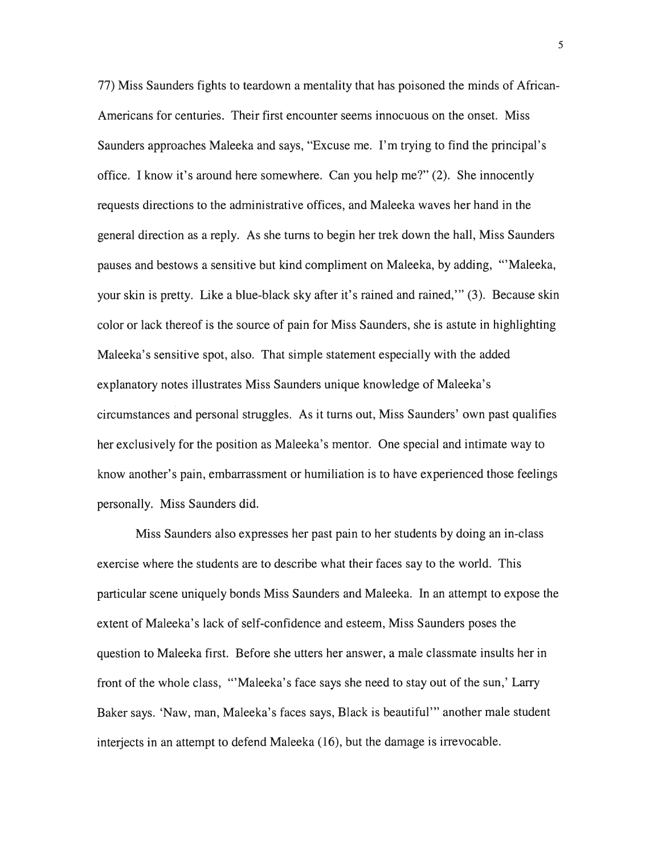77) Miss Saunders fights to teardown a mentality that has poisoned the minds of African-Americans for centuries. Their first encounter seems innocuous on the onset. Miss Saunders approaches Maleeka and says, "Excuse me. I'm trying to find the principal's office. I know it's around here somewhere. Can you help me?" (2). She innocently requests directions to the administrative offices, and Maleeka waves her hand in the general direction as a reply. As she turns to begin her trek down the hall, Miss Saunders pauses and bestows a sensitive but kind compliment on Maleeka, by adding, "'Maleeka, your skin is pretty. Like a blue-black sky after it's rained and rained,'" (3). Because skin color or lack thereof is the source of pain for Miss Saunders, she is astute in highlighting Maleeka's sensitive spot, also. That simple statement especially with the added explanatory notes illustrates Miss Saunders unique knowledge of Maleeka's circumstances and personal struggles. As it turns out, Miss Saunders' own past qualifies her exclusively for the position as Maleeka's mentor. One special and intimate way to know another's pain, embarrassment or humiliation is to have experienced those feelings personally. Miss Saunders did.

Miss Saunders also expresses her past pain to her students by doing an in-class exercise where the students are to describe what their faces say to the world. This particular scene uniquely bonds Miss Saunders and Maleeka. In an attempt to expose the extent of Maleeka's lack of self-confidence and esteem, Miss Saunders poses the question to Maleeka first. Before she utters her answer, a male classmate insults her in front of the whole class, '"Maleeka's face says she need to stay out of the sun,' Larry Baker says. 'Naw, man, Maleeka's faces says, Black is beautiful'" another male student interjects in an attempt to defend Maleeka (16), but the damage is irrevocable.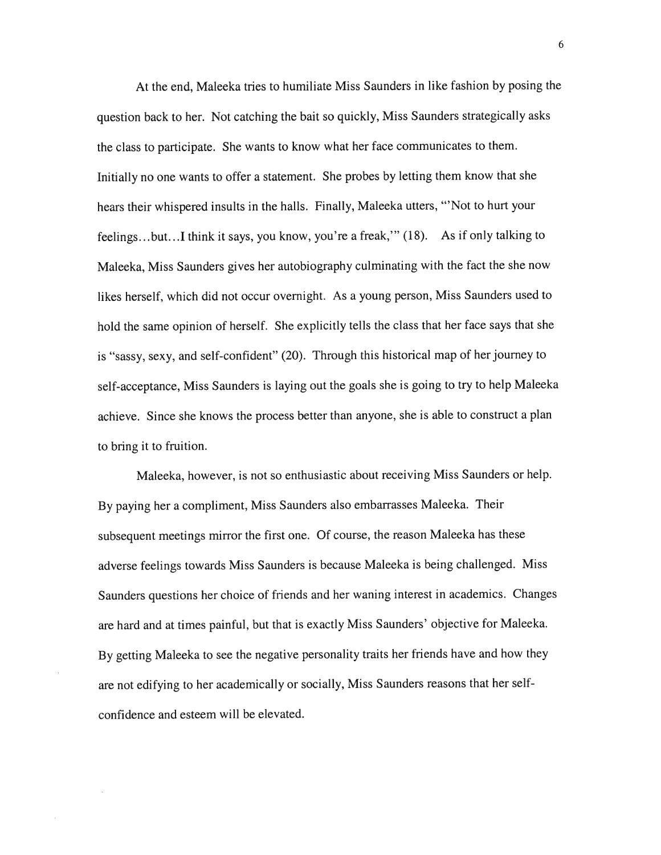At the end, Maleeka tries to humiliate Miss Saunders in like fashion by posing the question back to her. Not catching the bait so quickly, Miss Saunders strategically asks the class to participate. She wants to know what her face communicates to them. Initiallyno one wants to offer a statement. She probes by letting them know that she hears their whispered insults in the halls. Finally, Maleeka utters, "Not to hurt your feelings...but...I think it says, you know, you're a freak," (18). As if only talking to Maleeka, Miss Saunders gives her autobiography culminating with the fact the she now likes herself, which did not occur overnight. As a young person, Miss Saunders used to hold the same opinion of herself. She explicitly tells the class that her face says that she is "sassy, sexy, and self-confident" (20). Through this historical map of her journey to self-acceptance, Miss Saunders is laying out the goals she is going to try to help Maleeka achieve. Since she knows the process better than anyone, she is able to construct a plan to bring it to fruition.

Maleeka, however, is not so enthusiastic about receiving Miss Saunders or help. By paying her a compliment, Miss Saunders also embarrasses Maleeka. Their subsequent meetings mirror the first one. Of course, the reason Maleeka has these adverse feelings towards Miss Saunders is because Maleeka is being challenged. Miss Saunders questions her choice of friends and her waning interest in academics. Changes are hard and at times painful, but that is exactly Miss Saunders' objective for Maleeka. By getting Maleeka to see the negative personality traits her friends have and how they are not edifying to her academically or socially, Miss Saunders reasons that her selfconfidence and esteem will be elevated.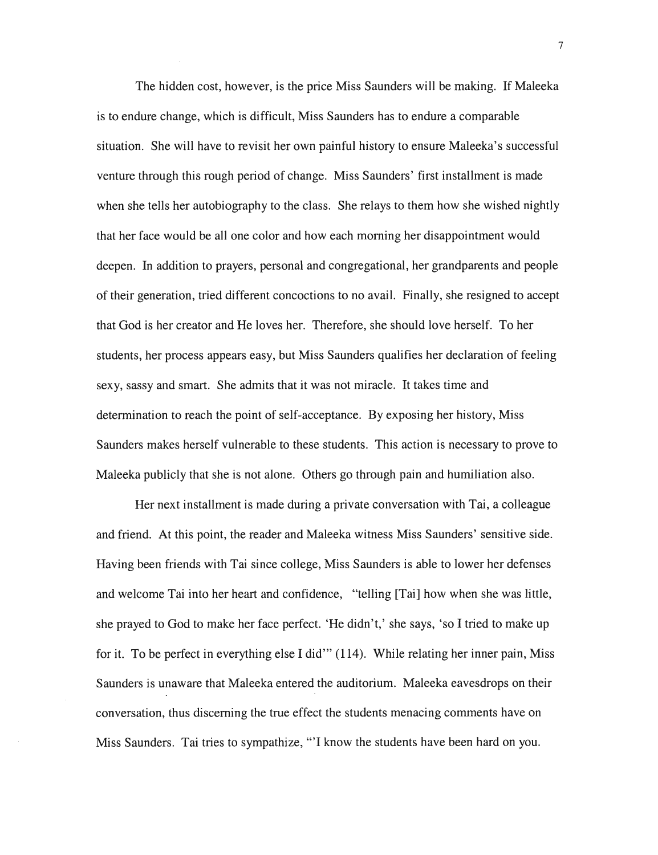The hidden cost, however, is the price Miss Saunders will be making. If Maleeka is to endure change, which is difficult, Miss Saunders has to endure a comparable situation. She will have to revisit her own painful history to ensure Maleeka's successful venture through this rough period of change. Miss Saunders' first installment is made when she tells her autobiography to the class. She relays to them how she wished nightly that her face would be all one color and how each morning her disappointment would deepen. In addition to prayers, personal and congregational, her grandparents and people of their generation, tried different concoctions to no avail. Finally, she resigned to accept that God is her creator and He loves her. Therefore, she should love herself. To her students, her process appears easy, but Miss Saunders qualifies her declaration of feeling sexy, sassy and smart. She admits that it was not miracle. It takes time and determination to reach the point of self-acceptance. By exposing her history, Miss Saunders makes herself vulnerable to these students. This action is necessary to prove to Maleeka publicly that she is not alone. Others go through pain and humiliation also.

Her next installment is made during a private conversation with Tai, a colleague and friend. At this point, the reader and Maleeka witness Miss Saunders' sensitive side. Having been friends with Tai since college, Miss Saunders is able to lower her defenses and welcome Tai into her heart and confidence, "telling [Tai] how when she was little, she prayed to God to make her face perfect. 'He didn't,' she says, 'so I tried to make up for it. To be perfect in everything else I did"' (114). While relating her inner pain, Miss Saunders is unaware that Maleeka entered the auditorium. Maleeka eavesdrops on their conversation, thus discerning the true effect the students menacing comments have on Miss Saunders. Tai tries to sympathize, '"I know the students have been hard on you.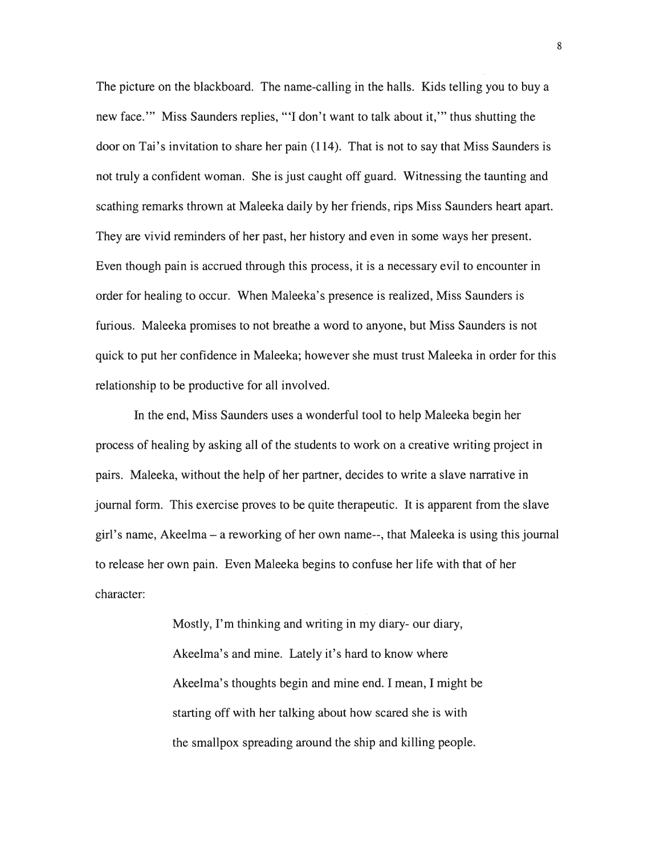The picture on the blackboard. The name-calling in the halls. Kids telling you to buy a new face.'" Miss Saunders replies, '"I don't want to talk about it,'" thus shutting the door on Tai's invitation to share her pain (114). That is not to say that Miss Saunders is not truly a confident woman. She is just caught off guard. Witnessing the taunting and scathing remarks thrown at Maleeka daily by her friends, rips Miss Saunders heart apart. They are vivid reminders of her past, her history and even in some ways her present. Even though pain is accrued through this process, it is a necessary evil to encounter in order for healing to occur. When Maleeka's presence is realized, Miss Saunders is furious. Maleeka promises to not breathe a word to anyone, but Miss Saunders is not quick to put her confidence in Maleeka; however she must trust Maleeka in order for this relationship to be productive for all involved.

In the end, Miss Saunders uses a wonderful tool to help Maleeka begin her process of healing by asking all of the students to work on a creative writing project in pairs. Maleeka, without the help of her partner, decides to write a slave narrative in journal form. This exercise proves to be quite therapeutic. It is apparent from the slave girl's name, Akeelma - a reworking of her own name--, that Maleeka is using this journal to release her own pain. Even Maleeka begins to confuse her life with that of her character:

> Mostly, I'm thinking and writing in my diary- our diary, Akeelma's and mine. Lately it's hard to know where Akeelma's thoughts begin and mine end. I mean, I might be starting off with her talking about how scared she is with the smallpox spreading around the ship and killing people.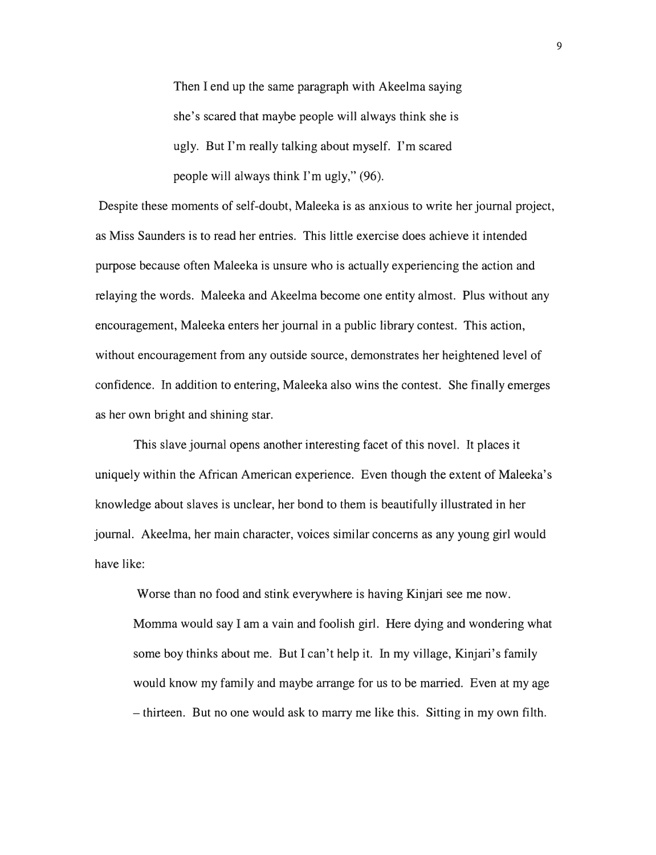Then I end up the same paragraph with Akeelma saying she's scared that maybe people will always think she is ugly. But I'm really talking about myself. I'm scared people will always think I'm ugly," (96).

Despite these moments of self-doubt, Maleeka is as anxious to write her journal project, as Miss Saunders is to read her entries. This little exercise does achieve it intended purpose because often Maleeka is unsure who is actually experiencing the action and relaying the words. Maleeka and Akeelma become one entity almost. Plus without any encouragement, Maleeka enters her journal in a public library contest. This action, without encouragement from any outside source, demonstrates her heightened level of confidence. In addition to entering, Maleeka also wins the contest. She finally emerges as her own bright and shining star.

This slave journal opens another interesting facet of this novel. It places it uniquely within the African American experience. Even though the extent of Maleeka's knowledge about slaves is unclear, her bond to them is beautifully illustrated in her journal. Akeelma, her main character, voices similar concerns as any young girl would have like:

Worse than no food and stink everywhere is having Kinjari see me now. Momma would say I am a vain and foolish girl. Here dying and wondering what some boy thinks about me. But I can't help it. In my village, Kinjari's family would know my family and maybe arrange for us to be married. Even at my age - thirteen. But no one would ask to marry me like this. Sitting in my own filth.

 $\overline{Q}$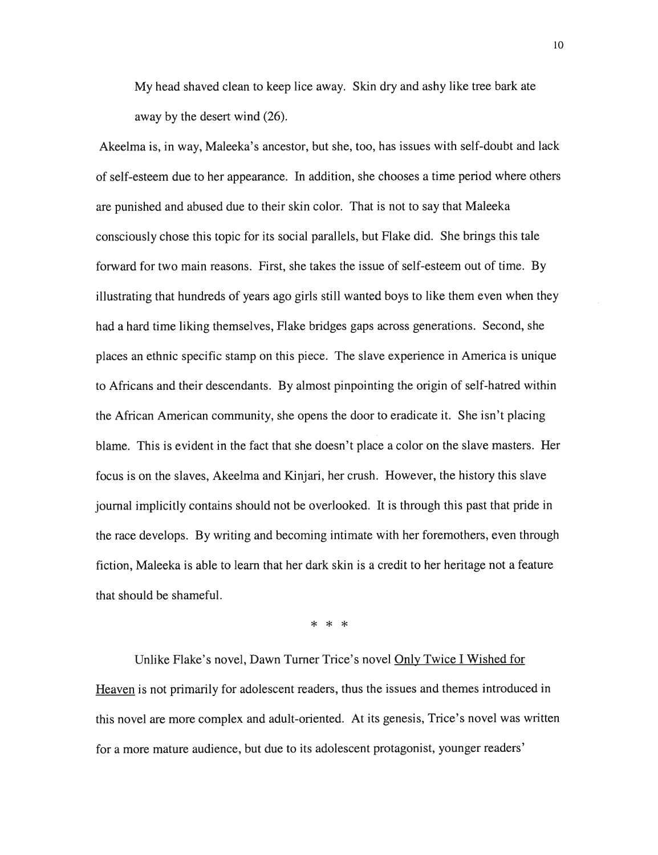My head shaved clean to keep lice away. Skin dry and ashy like tree bark ate away by the desert wind (26).

Akeelma is, in way, Maleeka's ancestor, but she, too, has issues with self-doubt and lack of self-esteem due to her appearance. In addition, she chooses a time period where others are punished and abused due to their skin color. That is not to say that Maleeka consciously chose this topic for its social parallels, but Flake did. She brings this tale forward for two main reasons. First, she takes the issue of self-esteem out of time. By illustrating that hundreds of years ago girls still wanted boys to like them even when they had a hard time liking themselves, Flake bridges gaps across generations. Second, she places an ethnic specific stamp on this piece. The slave experience in America is unique to Africans and their descendants. By almost pinpointing the origin of self-hatred within the African American community, she opens the door to eradicate it. She isn't placing blame. This is evident in the fact that she doesn't place a color on the slave masters. Her focus is on the slaves, Akeelma and Kinjari, her crush. However, the history this slave journal implicitly contains should not be overlooked. It is through this past that pride in the race develops. By writing and becoming intimate with her foremothers, even through fiction, Maleeka is able to learn that her dark skin is a credit to her heritage not a feature that should be shameful.

*\* \* \**

Unlike Flake's novel, Dawn Turner Trice's novel Only Twice I Wished for Heaven is not primarily for adolescent readers, thus the issues and themes introduced in this novel are more complex and adult-oriented. At its genesis, Trice's novel was written for a more mature audience, but due to its adolescent protagonist, younger readers'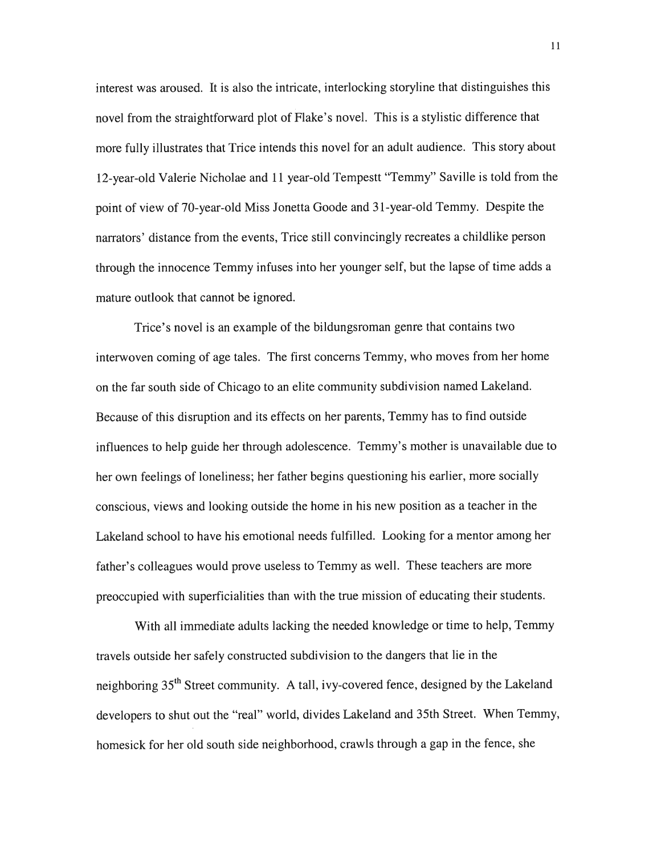interest was aroused. It is also the intricate, interlocking storyline that distinguishes this novel from the straightforward plot of Flake's novel. This is a stylistic difference that more fully illustrates that Trice intends this novel for an adult audience. This story about 12-year-old Valerie Nicholae and 11 year-old Tempestt"Temmy" Saville is told from the point of view of 70-year-old Miss Jonetta Goode and 31-year-oldTemmy. Despite the narrators' distance from the events, Trice still convincingly recreates a childlike person through the innocence Temmy infuses into her younger self, but the lapse of time adds a mature outlook that cannot be ignored.

Trice's novel is an example of the bildungsroman genre that contains two interwoven coming of age tales. The first concerns Temmy, who moves from her home on the far south side of Chicago to an elite community subdivision named Lakeland. Because of this disruption and its effects on her parents, Temmy has to find outside influences to help guide her through adolescence. Temmy's mother is unavailable due to her own feelings of loneliness; her father begins questioning his earlier, more socially conscious, views and looking outside the home in his new position as a teacher in the Lakeland school to have his emotional needs fulfilled. Looking for a mentor among her father's colleagues would prove useless to Temmy as well. These teachers are more preoccupied with superficialities than with the true mission of educating their students.

With all immediate adults lacking the needed knowledge or time to help, Temmy travels outside her safely constructed subdivision to the dangers that lie in the neighboring 35<sup>th</sup> Street community. A tall, ivy-covered fence, designed by the Lakeland developers to shut out the "real" world, divides Lakeland and 35th Street. When Temmy, homesick for her old south side neighborhood, crawls through a gap in the fence, she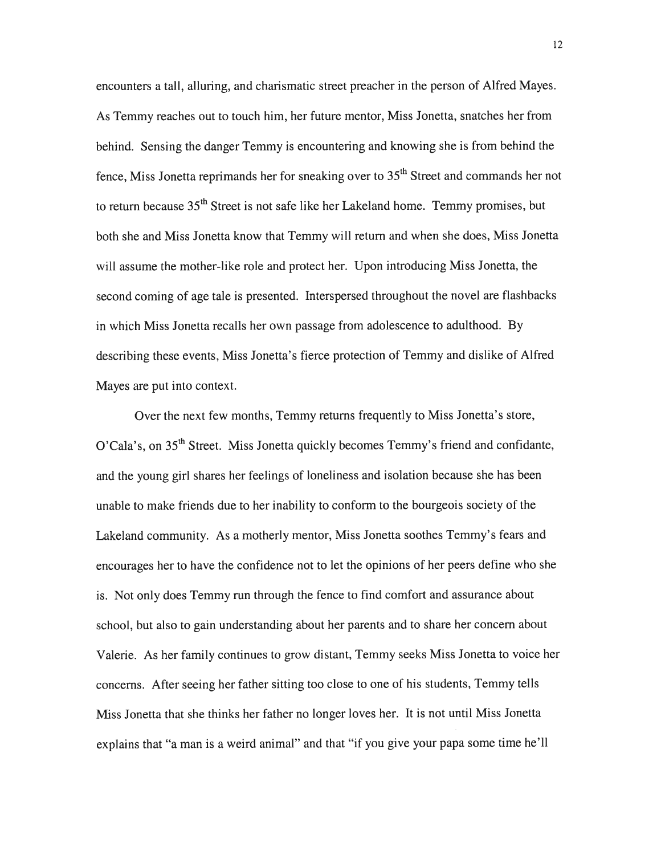encounters a tall, alluring, and charismatic street preacher in the person of Alfred Mayes. As Temmy reaches out to touch him, her future mentor, Miss Jonetta, snatches her from behind. Sensing the danger Temmy is encountering and knowing she is from behind the fence, Miss Jonetta reprimands her for sneaking over to 35<sup>th</sup> Street and commands her not to return because 35<sup>th</sup> Street is not safe like her Lakeland home. Temmy promises, but both she and Miss Jonetta know that Temmy will return and when she does, Miss Jonetta will assume the mother-like role and protect her. Upon introducing Miss Jonetta, the second coming of age tale is presented. Interspersed throughout the novel are flashbacks in which Miss Jonetta recalls her own passage from adolescence to adulthood. By describing these events, Miss Jonetta's fierce protection of Temmy and dislike of Alfred Mayes are put into context.

Over the next few months, Temmy returns frequently to Miss Jonetta's store, O'Cala's, on 35<sup>th</sup> Street. Miss Jonetta quickly becomes Temmy's friend and confidante, and the young girl shares her feelings of loneliness and isolation because she has been unable to make friends due to her inability to conform to the bourgeois society of the Lakeland community. As a motherly mentor, Miss Jonetta soothes Temmy's fears and encourages her to have the confidence not to let the opinions of her peers define who she is. Not only does Temmy run through the fence to find comfort and assurance about school, but also to gain understanding about her parents and to share her concern about Valerie. As her family continues to grow distant, Temmy seeks Miss Jonetta to voice her concerns. After seeing her father sitting too close to one of his students, Temmy tells Miss Jonetta that she thinks her father no longer loves her. It is not until Miss Jonetta explains that "a man is a weird animal" and that "if you give your papa some time he'll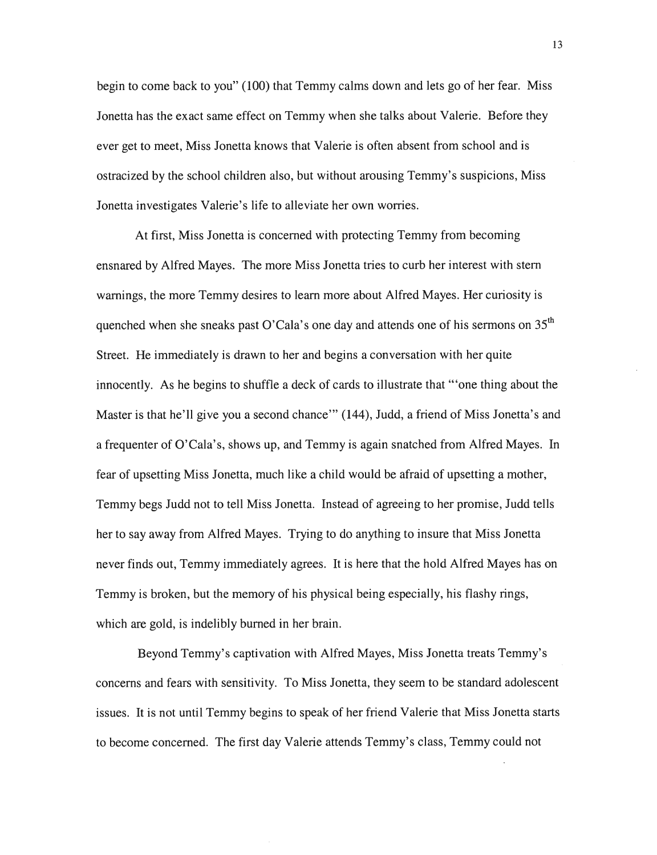begin to come back to you" (100) that Temmy calms down and lets go of her fear. Miss Jonetta has the exact same effect on Temmy when she talks about Valerie. Before they ever get to meet, Miss Jonetta knows that Valerie is often absent from school and is ostracized by the school children also, but without arousing Temmy's suspicions, Miss Jonetta investigates Valerie's life to alleviate her own worries.

At first, Miss Jonetta is concerned with protecting Temmy from becoming ensnared by Alfred Mayes. The more Miss Jonetta tries to curb her interest with stern warnings, the more Temmy desires to learn more about Alfred Mayes. Her curiosity is quenched when she sneaks past O'Cala's one day and attends one of his sermons on  $35<sup>th</sup>$ Street. He immediately is drawn to her and begins a conversation with her quite innocently. As he begins to shuffle a deck of cards to illustrate that '"one thing about the Master is that he'll give you a second chance'" (144), Judd, a friend of Miss Jonetta's and a frequenter of O'Cala's, shows up, and Temmy is again snatched from Alfred Mayes. In fear of upsetting Miss Jonetta, much like a child would be afraid of upsetting a mother, Temmy begs Judd not to tell Miss Jonetta. Instead of agreeing to her promise, Judd tells her to say away from Alfred Mayes. Trying to do anything to insure that Miss Jonetta never finds out, Temmy immediately agrees. It is here that the hold Alfred Mayes has on Temmy is broken, but the memory of his physical being especially, his flashy rings, which are gold, is indelibly burned in her brain.

Beyond Temmy's captivation with Alfred Mayes, Miss Jonetta treats Temmy's concerns and fears with sensitivity. To Miss Jonetta, they seem to be standard adolescent issues. It is not until Temmy begins to speak of her friend Valerie that Miss Jonetta starts to become concerned. The first day Valerie attends Temmy's class, Temmy could not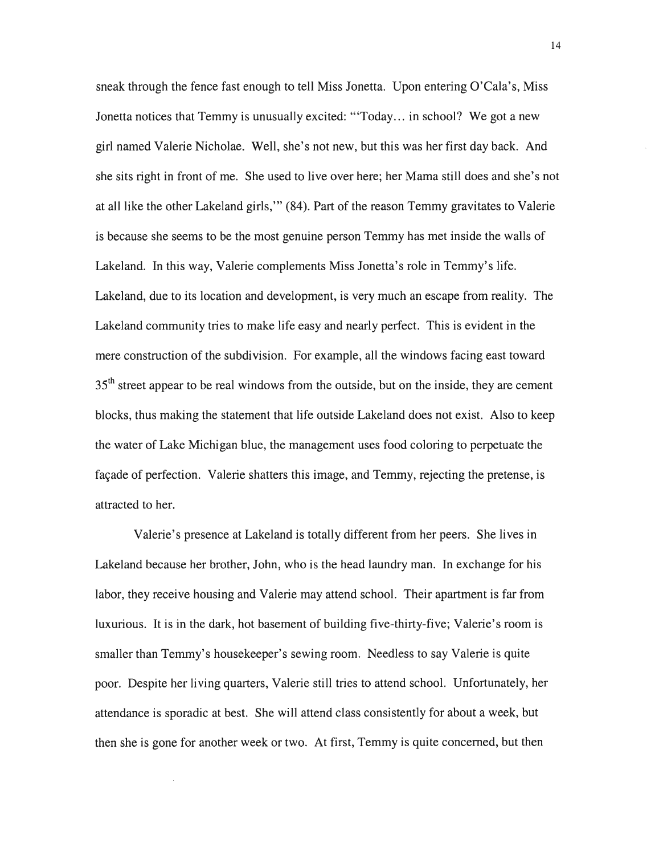sneak through the fence fast enough to tell Miss Jonetta. Upon entering O'Cala's, Miss Jonetta notices that Temmy is unusually excited: "Today... in school? We got a new girl named Valerie Nicholae. Well, she's not new, but this was her first day back. And she sits right in front of me. She used to live over here; her Mama still does and she's not at all like the other Lakeland girls,'" (84). Part of the reason Temmy gravitates to Valerie is because she seems to be the most genuine person Temmy has met inside the walls of Lakeland. In this way, Valerie complements Miss Jonetta's role in Temmy's life. Lakeland, due to its location and development, is very much an escape from reality. The Lakeland community tries to make life easy and nearly perfect. This is evident in the mere construction of the subdivision. For example, all the windows facing east toward  $35<sup>th</sup>$  street appear to be real windows from the outside, but on the inside, they are cement blocks, thus making the statement that life outside Lakeland does not exist. Also to keep the water of Lake Michigan blue, the management uses food coloring to perpetuate the façade of perfection. Valerie shatters this image, and Temmy, rejecting the pretense, is attracted to her.

Valerie's presence at Lakeland is totally different from her peers. She lives in Lakeland because her brother, John, who is the head laundry man. In exchange for his labor, they receive housing and Valerie may attend school. Their apartment is far from luxurious. It is in the dark, hot basement of building five-thirty-five; Valerie's room is smaller than Temmy's housekeeper's sewing room. Needless to say Valerie is quite poor. Despite her living quarters, Valerie still tries to attend school. Unfortunately, her attendance is sporadic at best. She will attend class consistently for about a week, but then she is gone for another week or two. At first, Temmy is quite concerned, but then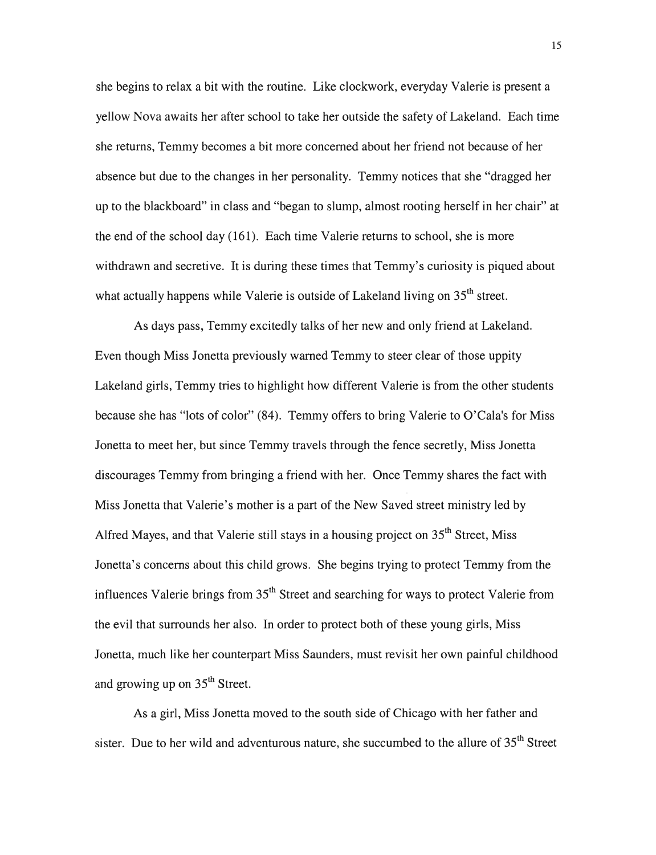she begins to relax a bit with the routine. Like clockwork, everyday Valerie is present a yellow Nova awaits her after school to take her outside the safety of Lakeland. Each time she returns, Temmy becomes a bit more concerned about her friend not because of her absence but due to the changes in her personality. Temmy notices that she "dragged her up to the blackboard" in class and "began to slump, almost rooting herself in her chair" at the end of the school day (161). Each time Valerie returns to school, she is more withdrawn and secretive. It is during these times that Temmy's curiosity is piqued about what actually happens while Valerie is outside of Lakeland living on 35<sup>th</sup> street.

As days pass, Temmy excitedly talks of her new and only friend at Lakeland. Even though Miss Jonetta previously warned Temmy to steer clear of those uppity Lakeland girls, Temmy tries to highlight how different Valerie is from the other students because she has "lots of color" (84). Temmy offers to bring Valerie to O'Cala's for Miss Jonetta to meet her, but since Temmy travels through the fence secretly, Miss Jonetta discourages Temmy from bringing a friend with her. Once Temmy shares the fact with Miss Jonetta that Valerie's mother is a part of the New Saved street ministry led by Alfred Mayes, and that Valerie still stays in a housing project on  $35<sup>th</sup>$  Street, Miss Jonetta's concerns about this child grows. She begins trying to protect Temmy from the influences Valerie brings from  $35<sup>th</sup>$  Street and searching for ways to protect Valerie from the evil that surrounds her also. In order to protect both of these young girls, Miss Jonetta, much like her counterpart Miss Saunders, must revisit her own painful childhood and growing up on 35<sup>th</sup> Street.

As a girl, Miss Jonetta moved to the south side of Chicago with her father and sister. Due to her wild and adventurous nature, she succumbed to the allure of 35<sup>th</sup> Street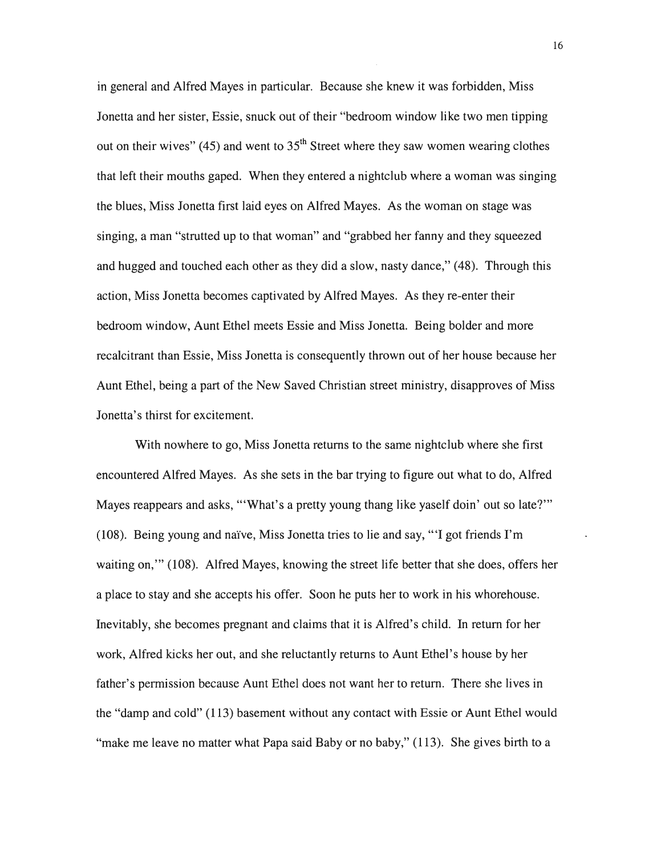in general and Alfred Mayes in particular. Because she knew it was forbidden, Miss Jonetta and her sister, Essie, snuck out of their "bedroom window like two men tipping out on their wives" (45) and went to  $35<sup>th</sup>$  Street where they saw women wearing clothes that left their mouths gaped. When they entered a nightclub where a woman was singing the blues, Miss Jonetta first laid eyes on Alfred Mayes. As the woman on stage was singing, a man "strutted up to that woman" and "grabbed her fanny and they squeezed and hugged and touched each other as they did a slow, nasty dance," (48). Through this action, Miss Jonetta becomes captivated by Alfred Mayes. As they re-enter their bedroom window, Aunt Ethel meets Essie and Miss Jonetta. Being bolder and more recalcitrant than Essie, Miss Jonetta is consequently thrown out of her house because her Aunt Ethel, being a part of the New Saved Christian street ministry, disapproves of Miss Jonetta's thirst for excitement.

With nowhere to go, Miss Jonetta returns to the same nightclub where she first encountered Alfred Mayes. As she sets in the bar trying to figure out what to do, Alfred Mayes reappears and asks, "'What's a pretty young thang like yaself doin' out so late?'" (108). Being young and naive, Miss Jonetta tries to lie and say, "T got friends I'm waiting on,'" (108). Alfred Mayes, knowing the street life better that she does, offers her a place to stay and she accepts his offer. Soon he puts her to work in his whorehouse. Inevitably, she becomes pregnant and claims that it is Alfred's child. In return for her work, Alfred kicks her out, and she reluctantly returns to Aunt Ethel's house by her father's permission because Aunt Ethel does not want her to return. There she lives in the "damp and cold" (113) basement without any contact with Essie or Aunt Ethel would "make me leave no matter what Papa said Baby or no baby," (113). She gives birth to a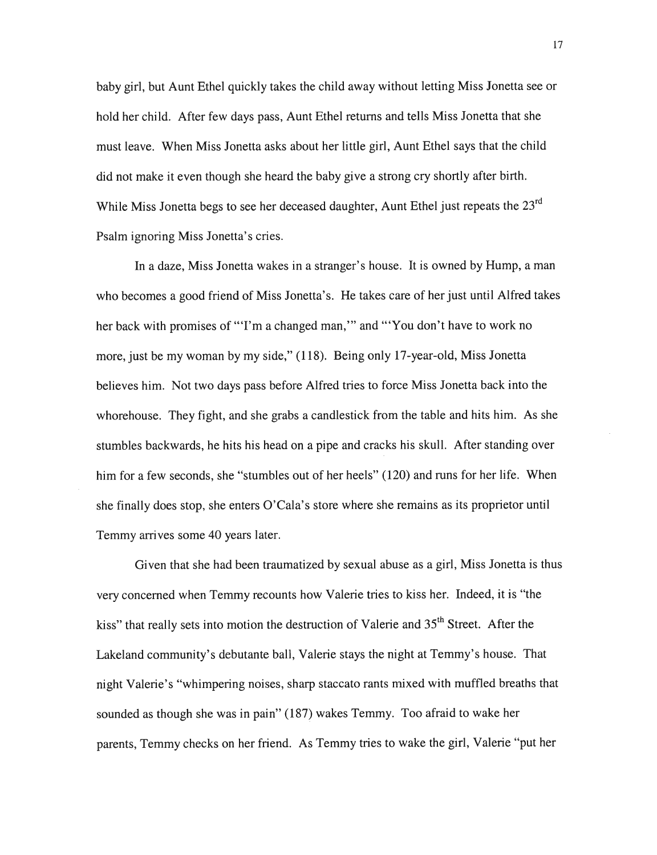baby girl, but Aunt Ethel quickly takes the child away without letting Miss Jonetta see or hold her child. After few days pass, Aunt Ethel returns and tells Miss Jonetta that she must leave. When Miss Jonetta asks about her little girl, Aunt Ethel says that the child did not make it even though she heard the baby give a strong cry shortly after birth. While Miss Jonetta begs to see her deceased daughter, Aunt Ethel just repeats the 23<sup>rd</sup> Psalm ignoring Miss Jonetta's cries.

In a daze, Miss Jonetta wakes in a stranger's house. It is owned by Hump, a man who becomes a good friend of Miss Jonetta's. He takes care of her just until Alfred takes her back with promises of "T'm a changed man," and "You don't have to work no more, just be my woman by my side," (118). Being only 17-year-old, Miss Jonetta believes him. Not two days pass before Alfred tries to force Miss Jonetta back into the whorehouse. They fight, and she grabs a candlestick from the table and hits him. As she stumbles backwards, he hits his head on a pipe and cracks his skull. After standing over him for a few seconds, she "stumbles out of her heels" (120) and runs for her life. When she finally does stop, she enters O'Cala's store where she remains as its proprietor until Temmy arrives some 40 years later.

Given that she had been traumatized by sexual abuse as a girl, Miss Jonetta is thus very concerned when Temmy recounts how Valerie tries to kiss her. Indeed, it is "the kiss" that really sets into motion the destruction of Valerie and  $35<sup>th</sup>$  Street. After the Lakeland community's debutante ball, Valerie stays the night at Temmy's house. That night Valerie's "whimpering noises, sharp staccato rants mixed with muffled breaths that sounded as though she was in pain" (187) wakes Temmy. Too afraid to wake her parents, Temmy checks on her friend. As Temmy tries to wake the girl, Valerie "put her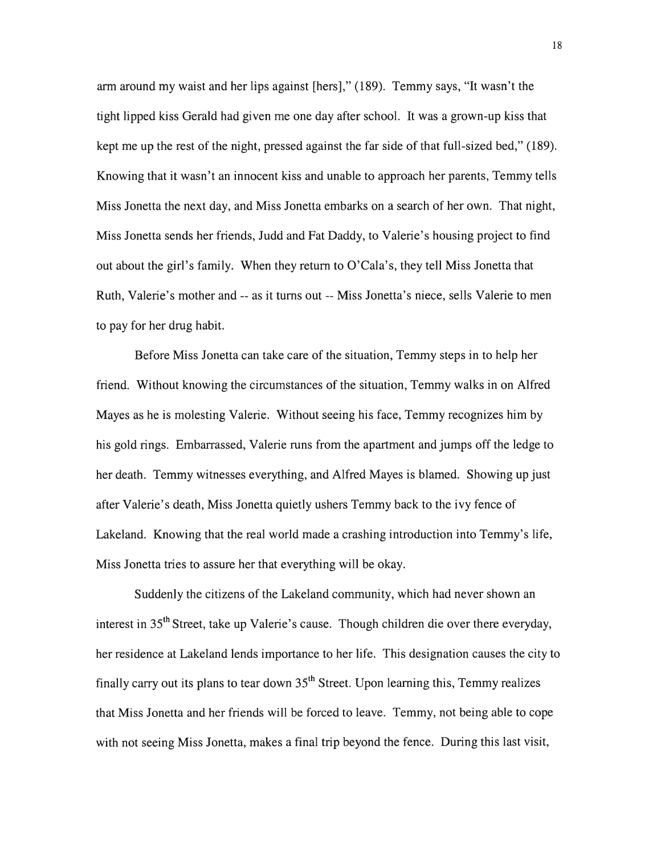arm around my waist and her lips against [hers]," (189). Temmy says, "It wasn't the tight lipped kiss Gerald had given me one day after school. It was a grown-up kiss that kept me up the rest of the night, pressed against the far side of that full-sized bed," (189). Knowing that it wasn't an innocent kiss and unable to approach her parents, Temmy tells Miss Jonetta the next day, and Miss Jonetta embarks on a search of her own. That night, Miss Jonetta sends her friends, Judd and Fat Daddy, to Valerie's housing project to find out about the girl's family. When they return to O'Cala's, they tell Miss Jonetta that Ruth, Valerie's mother and ~ as it turns out ~ Miss Jonetta's niece, sells Valerie to men to pay for her drug habit.

Before Miss Jonetta can take care of the situation, Temmy steps in to help her friend. Without knowing the circumstances of the situation, Temmy walks in on Alfred Mayes as he is molesting Valerie. Without seeing his face, Temmy recognizes him by his gold rings. Embarrassed, Valerie runs from the apartment and jumps off the ledge to her death. Temmy witnesses everything, and Alfred Mayes is blamed. Showing up just after Valerie's death, Miss Jonetta quietly ushers Temmy back to the ivy fence of Lakeland. Knowing that the real world made a crashing introduction into Temmy's life, Miss Jonetta tries to assure her that everything will be okay.

Suddenly the citizens of the Lakeland community, which had never shown an interest in 35<sup>th</sup> Street, take up Valerie's cause. Though children die over there everyday, her residence at Lakeland lends importance to her life. This designation causes the city to finally carry out its plans to tear down  $35<sup>th</sup>$  Street. Upon learning this, Temmy realizes that Miss Jonetta and her friends will be forced to leave. Temmy, not being able to cope with not seeing Miss Jonetta, makes a final trip beyond the fence. During this last visit,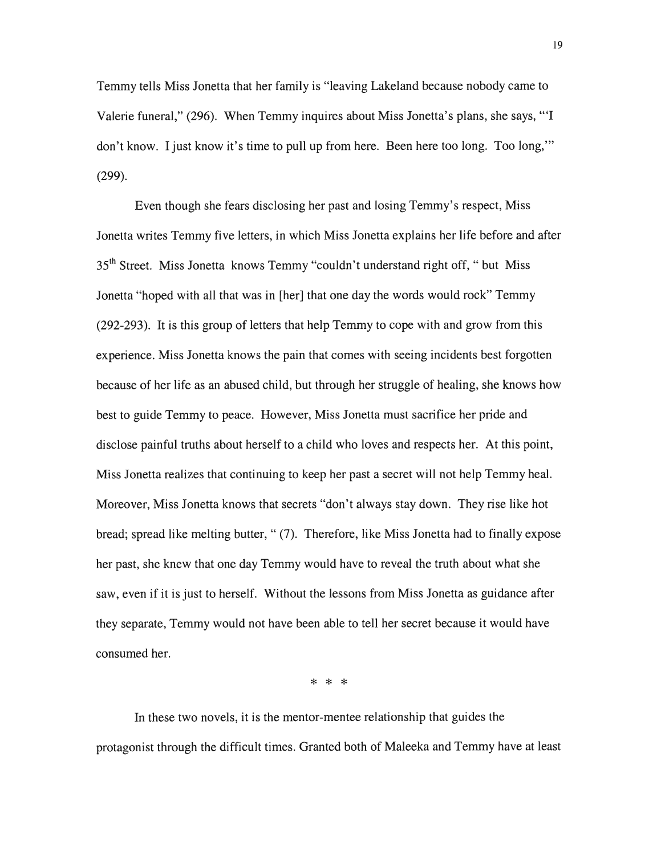Temmy tells Miss Jonetta that her family is "leaving Lakeland because nobody came to Valerie funeral," (296). When Temmy inquires about Miss Jonetta's plans, she says, '"I don't know. I just know it's time to pull up from here. Been here too long. Too long,'" (299).

Even though she fears disclosing her past and losing Temmy's respect, Miss Jonetta writes Temmy five letters, in which Miss Jonetta explains her life before and after 35<sup>th</sup> Street. Miss Jonetta knows Temmy "couldn't understand right off, " but Miss Jonetta "hoped with all that was in [her] that one day the words would rock" Temmy (292-293). It is this group of letters that help Temmy to cope with and grow from this experience. Miss Jonetta knows the pain that comes with seeing incidents best forgotten because of her life as an abused child, but through her struggle of healing, she knows how best to guide Temmy to peace. However, Miss Jonetta must sacrifice her pride and disclose painful truths about herself to a child who loves and respects her. At this point, Miss Jonetta realizes that continuing to keep her past a secret will not help Temmy heal. Moreover, Miss Jonetta knows that secrets "don't always stay down. They rise like hot bread; spread like melting butter, " (7). Therefore, like Miss Jonetta had to finally expose her past, she knew that one day Temmy would have to reveal the truth about what she saw, even if it is just to herself. Without the lessons from Miss Jonetta as guidance after they separate, Temmy would not have been able to tell her secret because it would have consumed her.

*\* \* \**

In these two novels, it is the mentor-mentee relationship that guides the protagonist through the difficult times. Granted both of Maleeka and Temmy have at least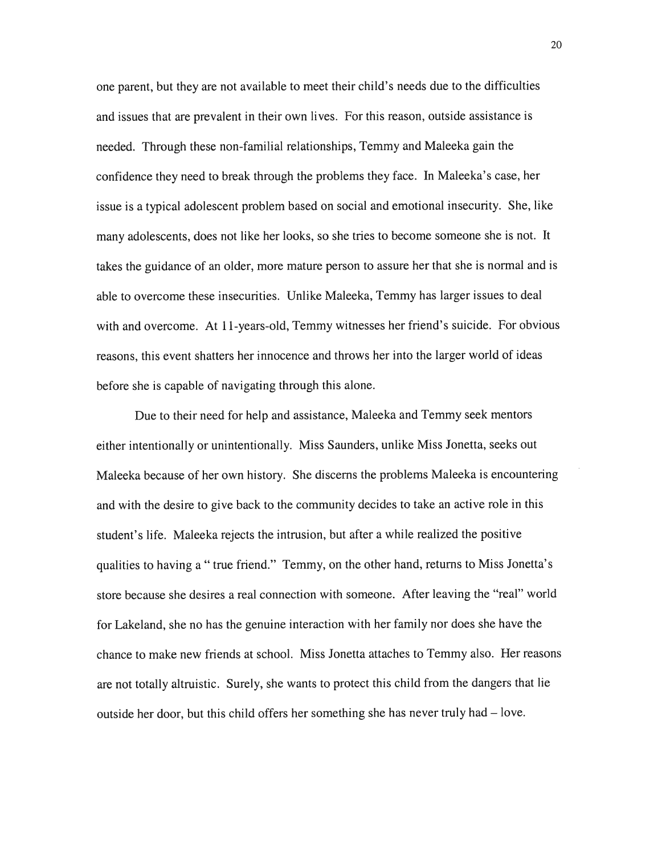one parent, but they are not available to meet their child's needs due to the difficulties and issues that are prevalent in their own lives. For this reason, outside assistance is needed. Through these non-familial relationships, Temmy and Maleeka gain the confidence they need to break through the problems they face. In Maleeka's case, her issue is a typical adolescent problem based on social and emotional insecurity. She, like many adolescents, does not like her looks, so she tries to become someone she is not. It takes the guidance of an older, more mature person to assure her that she is normal and is able to overcome these insecurities. Unlike Maleeka, Temmy has larger issues to deal with and overcome. At 11-years-old, Temmy witnesses her friend's suicide. For obvious reasons, this event shatters her innocence and throws her into the larger world of ideas before she is capable of navigating through this alone.

Due to their need for help and assistance, Maleeka and Temmy seek mentors either intentionally or unintentionally. Miss Saunders, unlike Miss Jonetta, seeks out Maleeka because of her own history. She discerns the problems Maleeka is encountering and with the desire to give back to the community decides to take an active role in this student's life. Maleeka rejects the intrusion, but after a while realized the positive qualities to having a " true friend." Temmy, on the other hand, returns to Miss Jonetta's store because she desires a real connection with someone. After leaving the "real" world for Lakeland, she no has the genuine interaction with her family nor does she have the chance to make new friends at school. Miss Jonetta attaches to Temmy also. Her reasons are not totally altruistic. Surely, she wants to protect this child from the dangers that lie outside her door, but this child offers her something she has never truly had  $-$  love.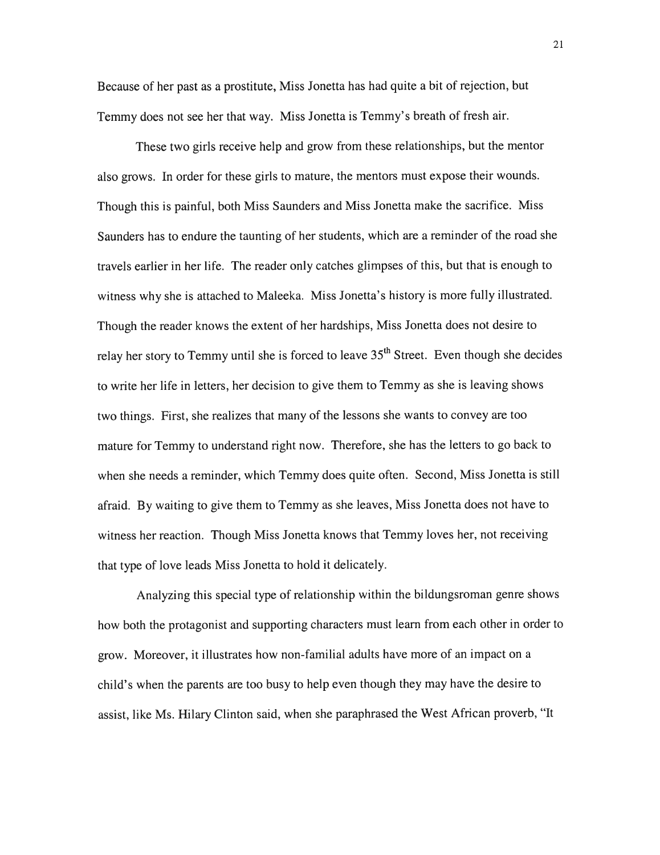Because of her past as a prostitute, Miss Jonetta has had quite a bit of rejection, but Temmy does not see her that way. Miss Jonetta is Temmy's breath of fresh air.

These two girls receive help and grow from these relationships, but the mentor also grows. In order for these girls to mature, the mentors must expose their wounds. Though this is painful, both Miss Saunders and Miss Jonetta make the sacrifice. Miss Saunders has to endure the taunting of her students, which are a reminder of the road she travels earlier in her life. The reader only catches glimpses of this, but that is enough to witness why she is attached to Maleeka. Miss Jonetta's history is more fully illustrated. Though the reader knows the extent of her hardships, Miss Jonetta does not desire to relay her story to Temmy until she is forced to leave 35<sup>th</sup> Street. Even though she decides to write her life in letters, her decision to give them to Temmy as she is leaving shows two things. First, she realizes that many of the lessons she wants to convey are too mature for Temmy to understand right now. Therefore, she has the letters to go back to when she needs a reminder, which Temmy does quite often. Second, Miss Jonetta is still afraid. By waiting to give them to Temmy as she leaves, Miss Jonetta does not have to witness her reaction. Though Miss Jonetta knows that Temmy loves her, not receiving that type of love leads Miss Jonetta to hold it delicately.

Analyzing this special type of relationship within the bildungsroman genre shows how both the protagonist and supporting characters must learn from each other in order to grow. Moreover, it illustrates how non-familial adults have more of an impact on a child's when the parents are too busy to help even though they may have the desire to assist, like Ms. Hilary Clinton said, when she paraphrased the West African proverb, "It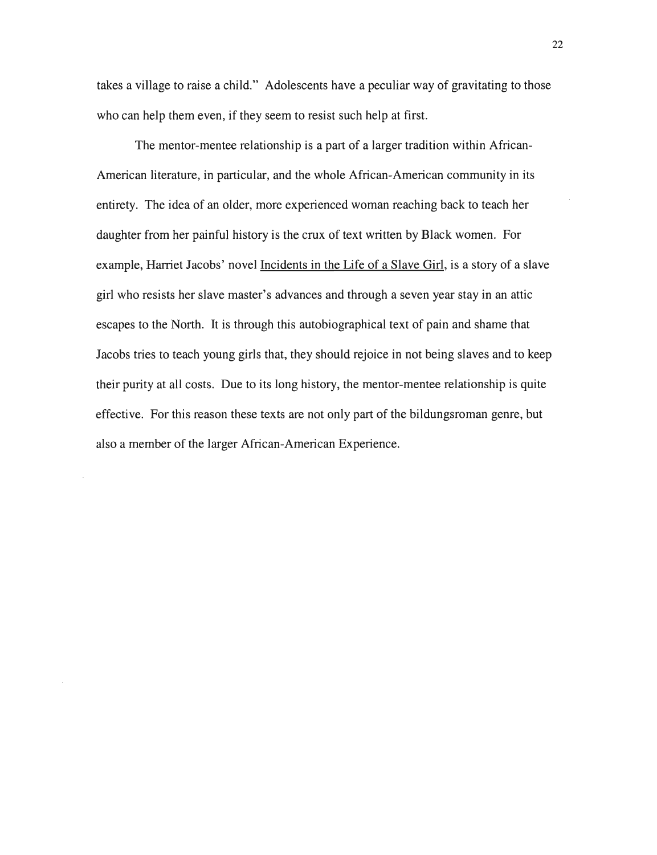takes a village to raise a child." Adolescents have a peculiar way of gravitating to those who can help them even, if they seem to resist such help at first.

The mentor-mentee relationship is a part of a larger tradition within African-American literature, in particular, and the whole African-American community in its entirety. The idea of an older, more experienced woman reaching back to teach her daughter from her painful history is the crux of text written by Black women. For example, Harriet Jacobs' novel Incidents in the Life of a Slave Girl, is a story of a slave girl who resists her slave master's advances and through a seven year stay in an attic escapes to the North. It is through this autobiographical text of pain and shame that Jacobs tries to teach young girls that, they should rejoice in not being slaves and to keep their purity at all costs. Due to its long history, the mentor-mentee relationship is quite effective. For this reason these texts are not only part of the bildungsroman genre, but also a member of the larger African-American Experience.

*22*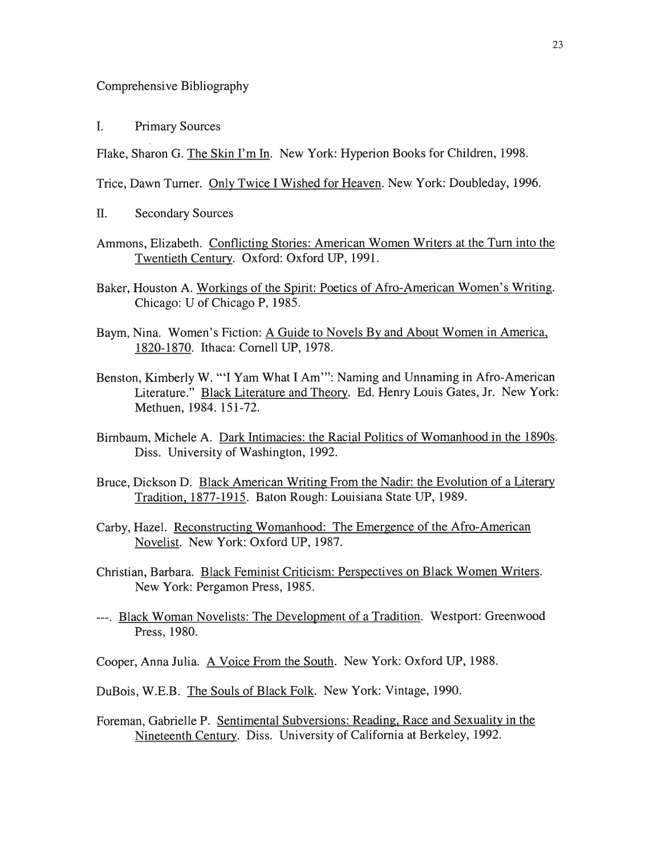#### Comprehensive Bibliography

I. Primary Sources

Flake, Sharon G. The Skin I'm In. New York: Hyperion Books for Children, 1998.

Trice, Dawn Turner. Only Twice I Wished for Heaven. New York: Doubleday, 1996.

- n. Secondary Sources
- Ammons, Elizabeth. Conflicting Stories: American Women Writers at the Turn into the Twentieth Century. Oxford: Oxford UP, 1991.
- Baker, Houston A. Workings of the Spirit: Poetics of Afro-American Women's Writing. Chicago: U of Chicago P, 1985.
- Baym, Nina. Women's Fiction: A Guide to Novels By and About Women in America, 1820-1870. Ithaca: Cornell UP, 1978.
- Benston, Kimberly W. '"I Yam What I Am'": Naming and Unnaming in Afro-American Literature." Black Literature and Theory. Ed. Henry Louis Gates, Jr. New York: Methuen, 1984. 151-72.
- Birnbaum, Michele A. Dark Intimacies: the Racial Politics of Womanhood in the 1890s. Diss. University of Washington, 1992.
- Bruce, Dickson D. Black American Writing From the Nadir: the Evolution of a Literary Tradition, 1877-1915. Baton Rough: Louisiana State UP, 1989.
- Carby, Hazel. Reconstructing Womanhood: The Emergence of the Afro-American Novelist. New York: Oxford UP, 1987.
- Christian, Barbara. Black Feminist Criticism: Perspectives on Black Women Writers. New York: Pergamon Press, 1985.
- —. Black Woman Novelists: The Development of a Tradition. Westport: Greenwood Press, 1980.
- Cooper, Anna Julia. A Voice From the South. New York: Oxford UP, 1988.
- DuBois, W.E.B. The Souls of Black Folk. New York: Vintage, 1990.
- Foreman, Gabrielle P. Sentimental Subversions: Reading, Race and Sexuality in the Nineteenth Century. Diss. University of California at Berkeley, 1992.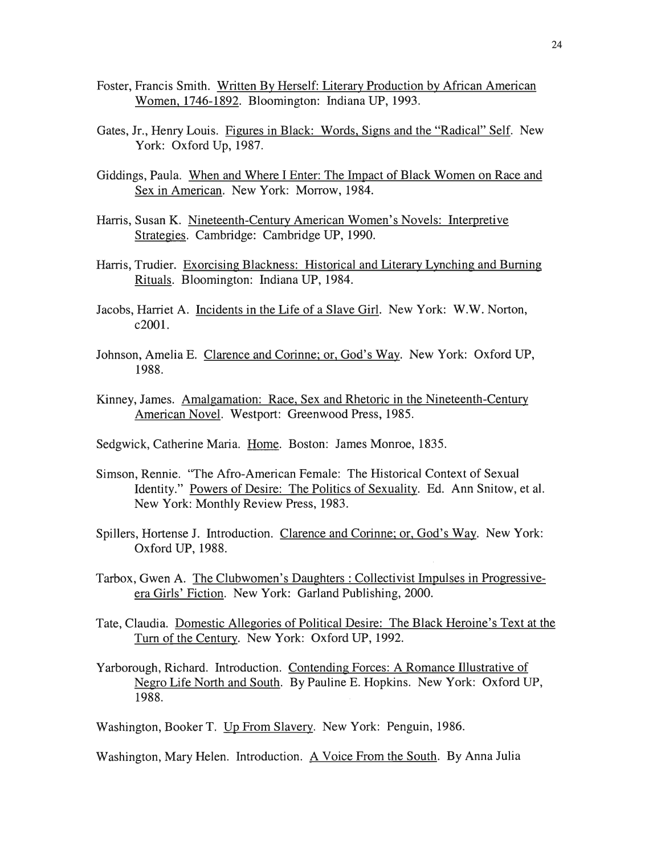- Foster, Francis Smith. Written By Herself: Literary Production by African American Women, 1746-1892. Bloomington: Indiana UP, 1993.
- Gates, Jr., Henry Louis. Figures in Black: Words, Signs and the "Radical" Self. New York: Oxford Up, 1987.
- Giddings, Paula. When and Where I Enter: The Impact of Black Women on Race and Sex in American. New York: Morrow, 1984.
- Harris, Susan K. Nineteenth-Century American Women's Novels: Interpretive Strategies. Cambridge: Cambridge UP, 1990.
- Harris, Trudier. Exorcising Blackness: Historical and Literary Lynching and Burning Rituals. Bloomington: Indiana UP, 1984.
- Jacobs, Harriet A. Incidents in the Life of a Slave Girl. New York: W.W. Norton, c2001.
- Johnson, Amelia E. Clarence and Corinne; or, God's Way. New York: Oxford UP, 1988.
- Kinney, James. Amalgamation: Race, Sex and Rhetoric in the Nineteenth-Century American Novel. Westport: Greenwood Press, 1985.
- Sedgwick, Catherine Maria. Home. Boston: James Monroe, 1835.
- Simson, Rennie. "The Afro-American Female: The Historical Context of Sexual Identity." Powers of Desire: The Politics of Sexuality. Ed. Ann Snitow, et al. New York: Monthly Review Press, 1983.
- Spillers, Hortense J. Introduction. Clarence and Corinne; or, God's Way. New York: Oxford UP, 1988.
- Tarbox, Gwen A. The Clubwomen's Daughters : Collectivist Impulses in Progressiveera Girls' Fiction. New York: Garland Publishing, 2000.
- Tate, Claudia. Domestic Allegories of Political Desire: The Black Heroine's Text at the Turn of the Century. New York: Oxford UP, 1992.
- Yarborough, Richard. Introduction. Contending Forces: A Romance Illustrative of Negro Life North and South. By Pauline E. Hopkins. New York: Oxford UP, 1988.

Washington, Booker T. Up From Slavery. New York: Penguin, 1986.

Washington, Mary Helen. Introduction. A Voice From the South. By Anna Julia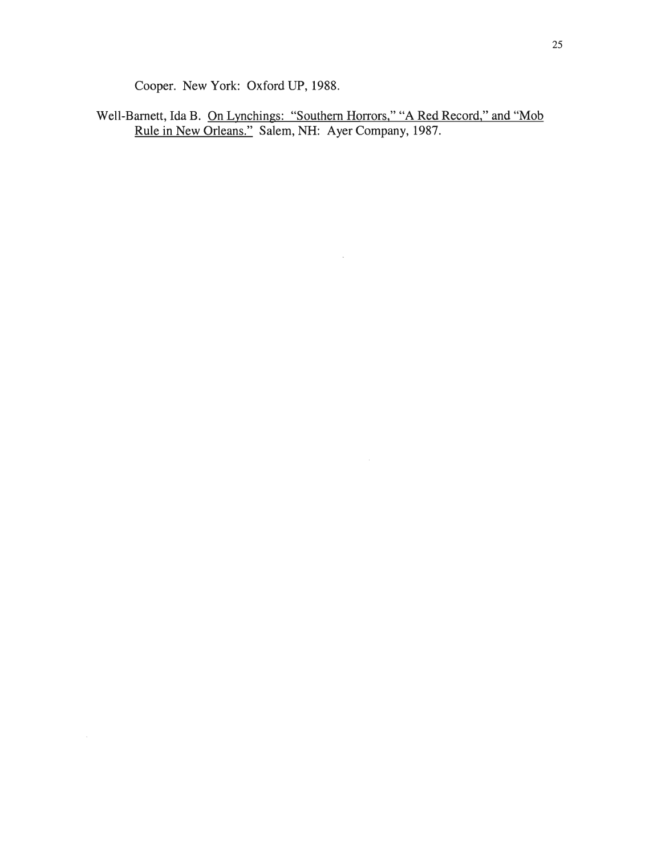Cooper. New York: Oxford UP, 1988.

Well-Barnett, Ida B. On Lynchings: "Southern Horrors," "A Red Record," and "Mob Rule in New Orleans." Salem, NH: Ayer Company, 1987.

 $\mathcal{L}_{\mathcal{A}}$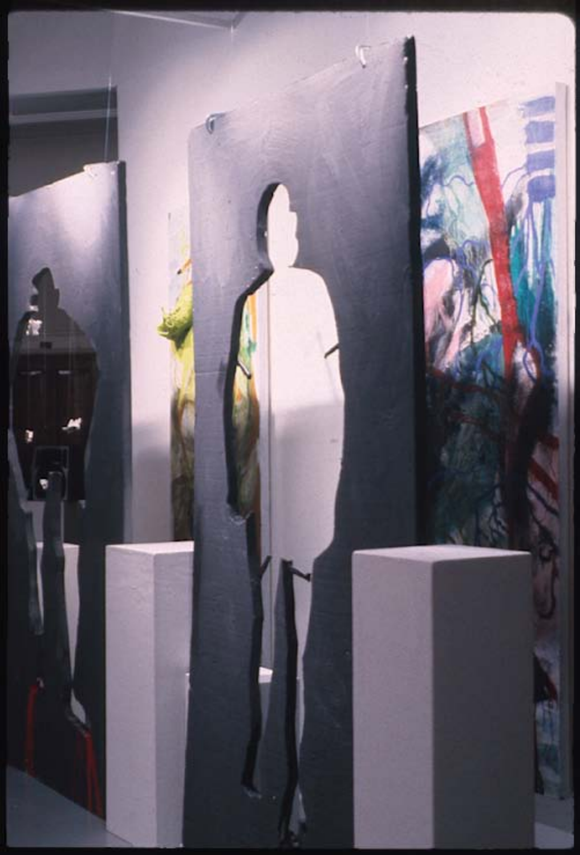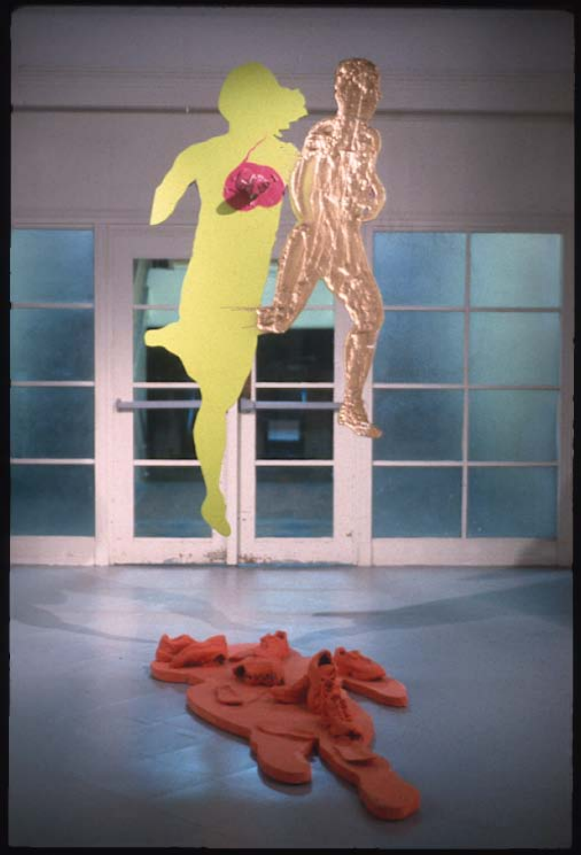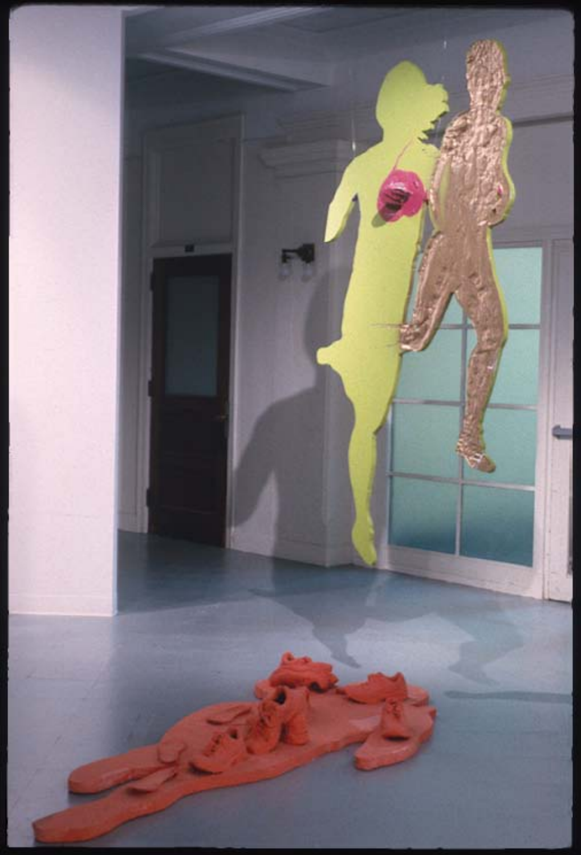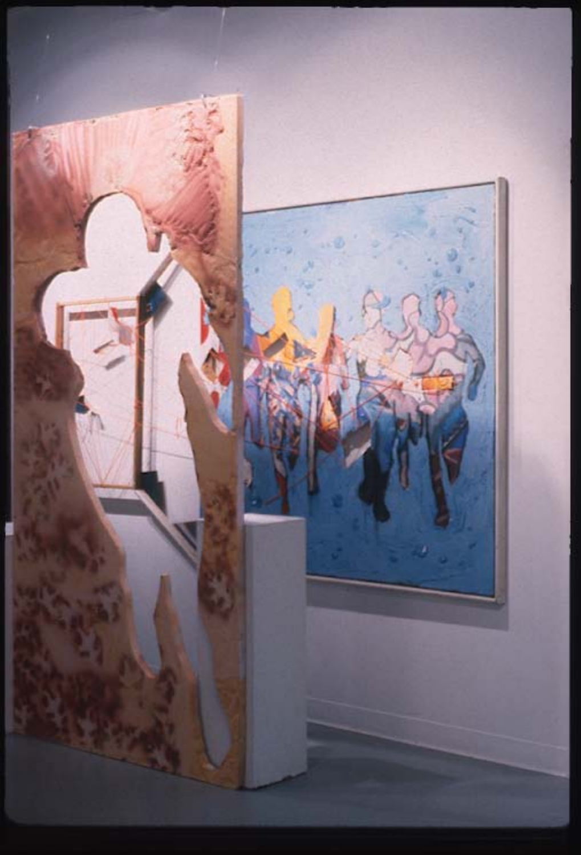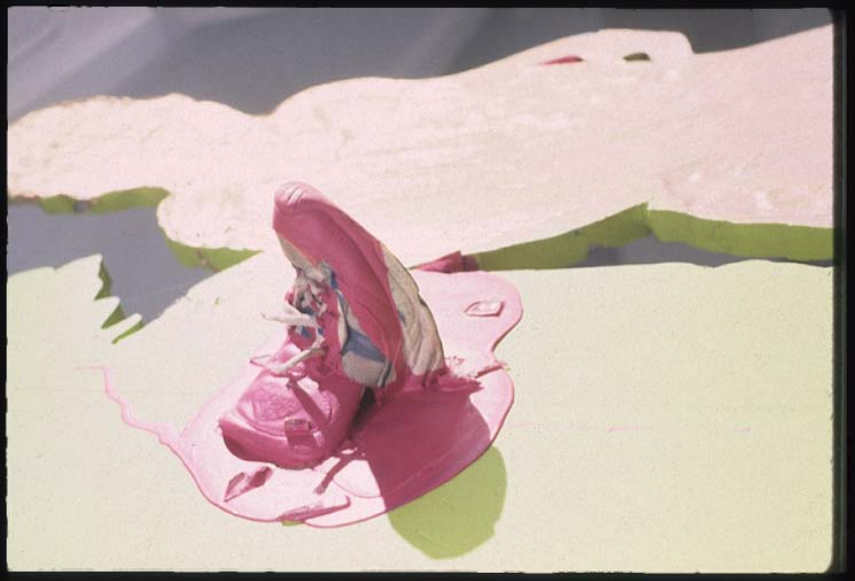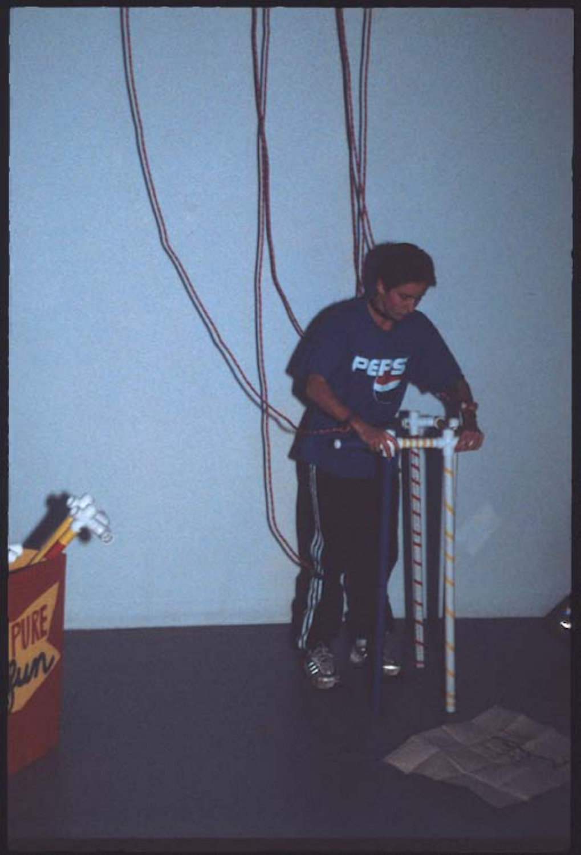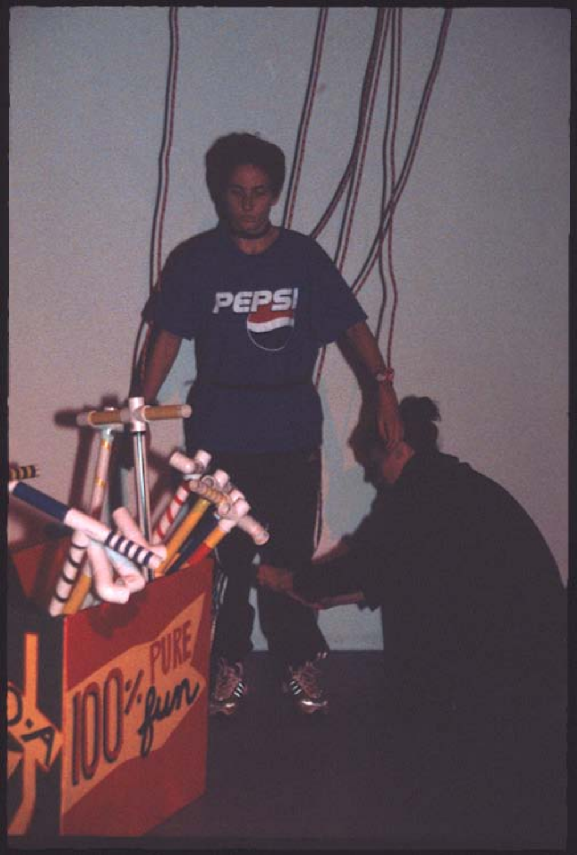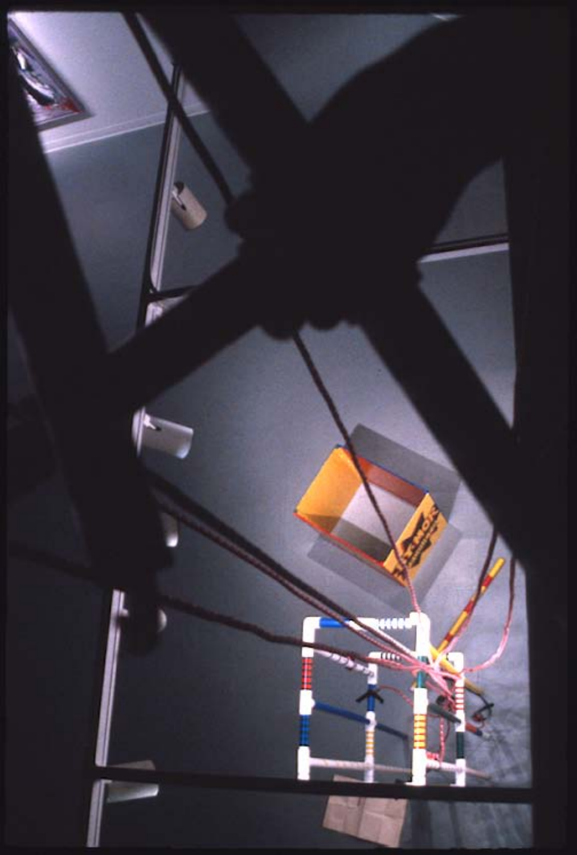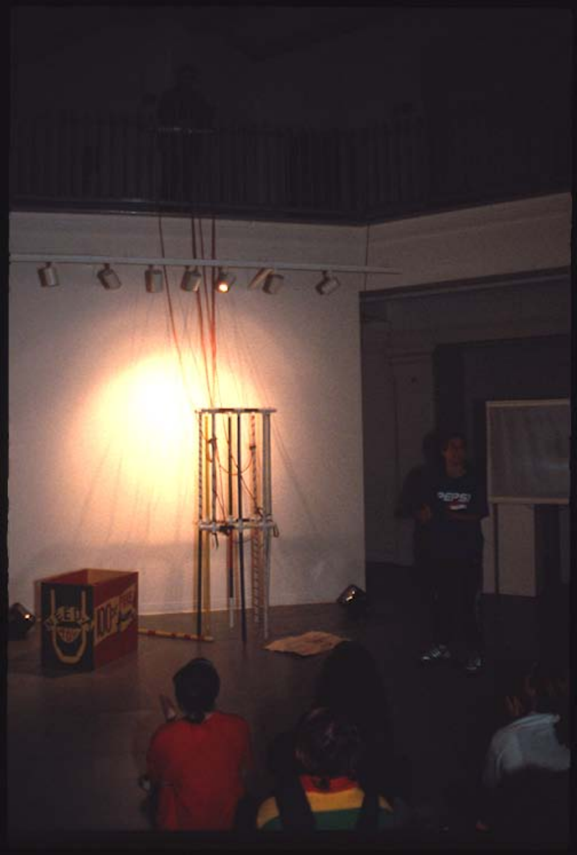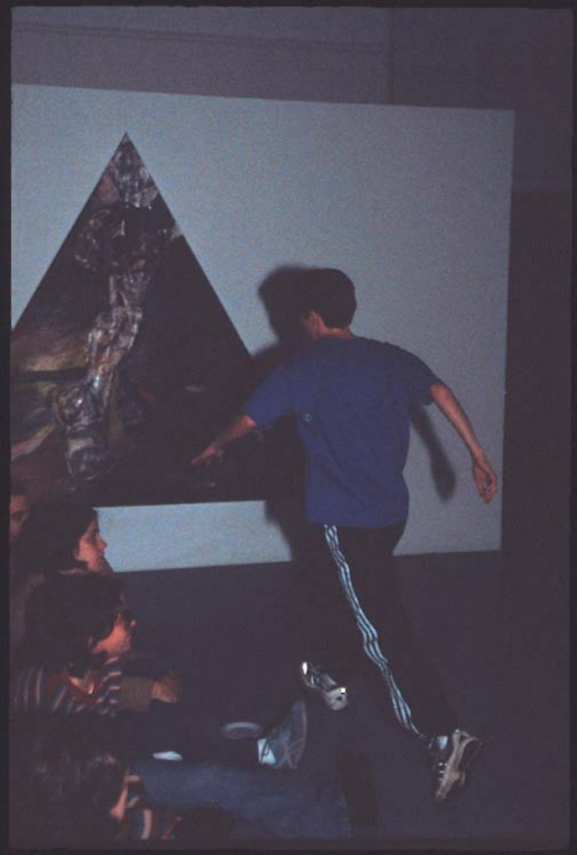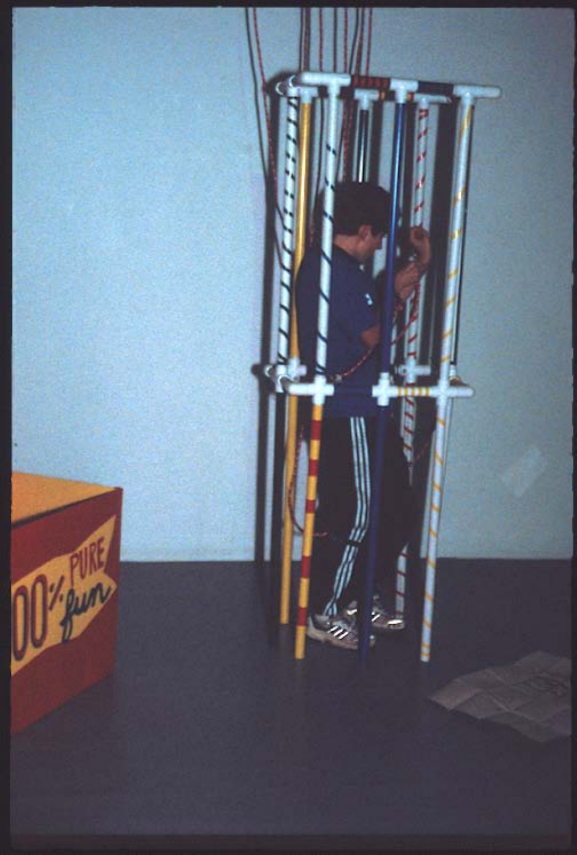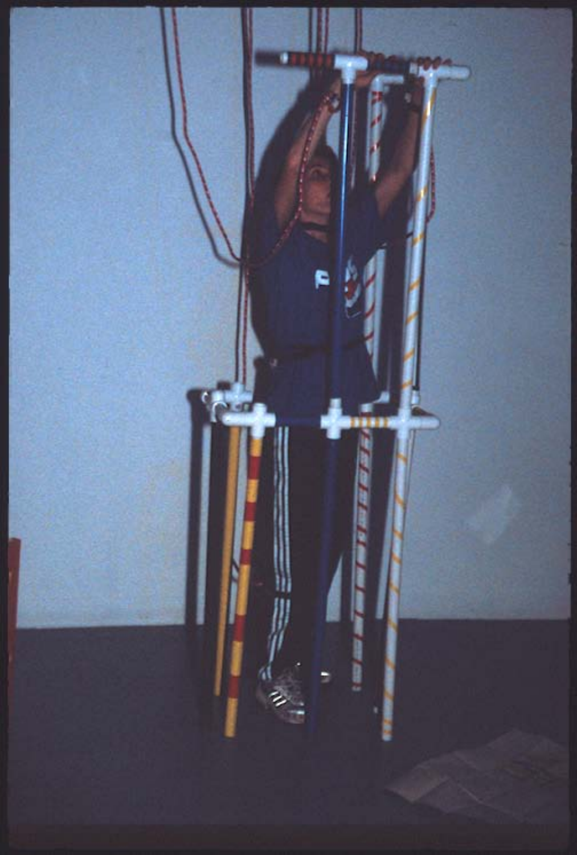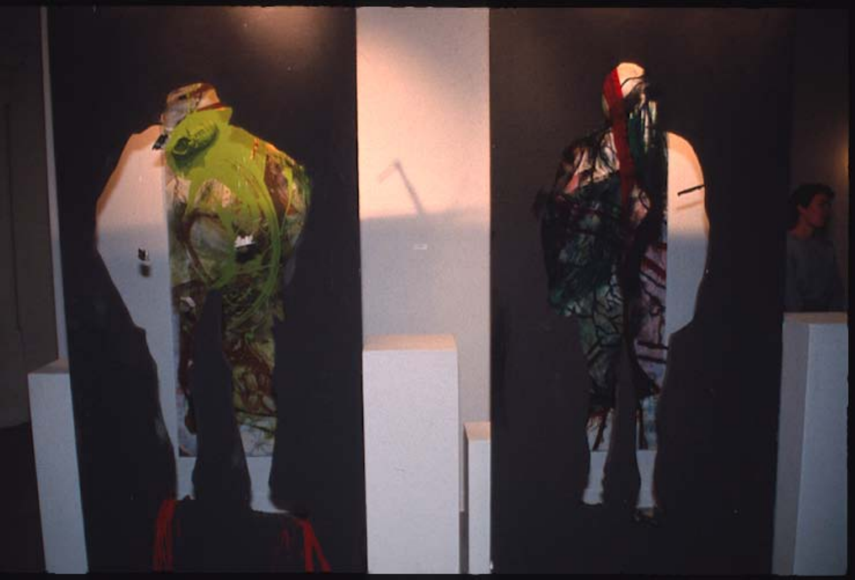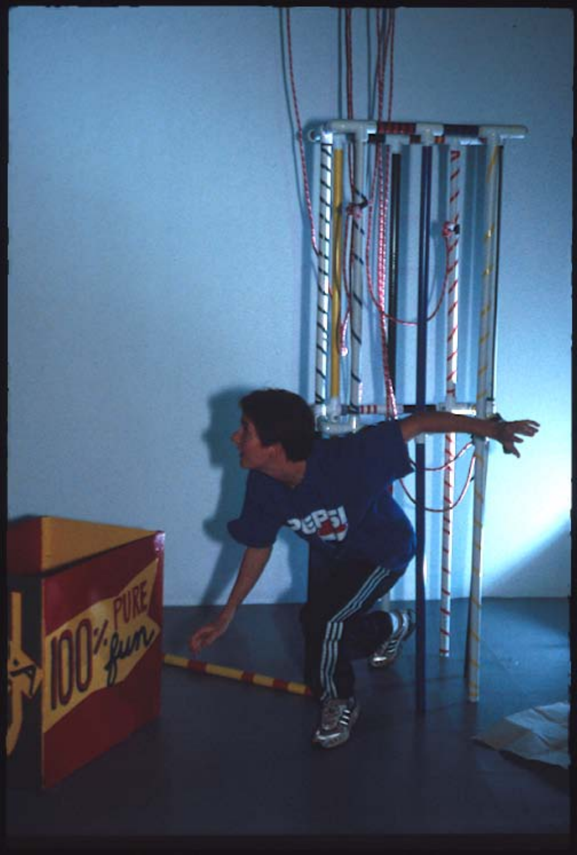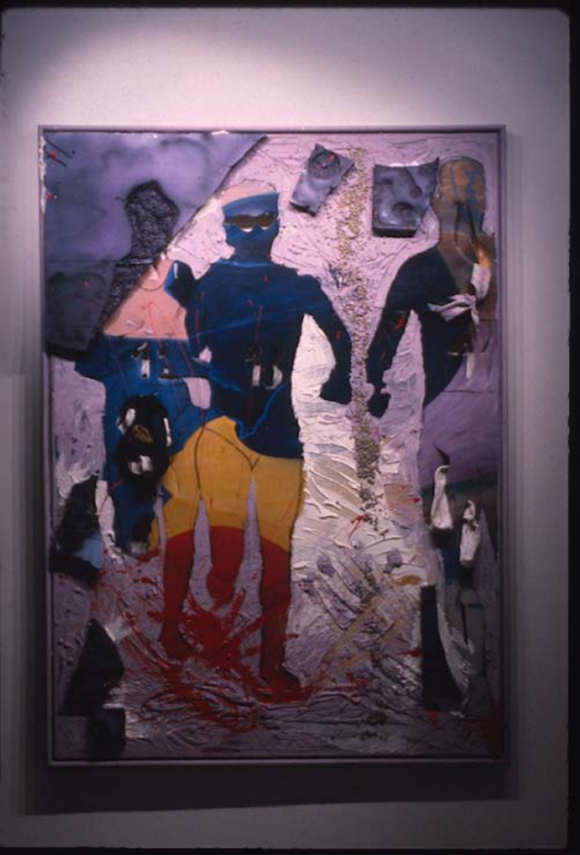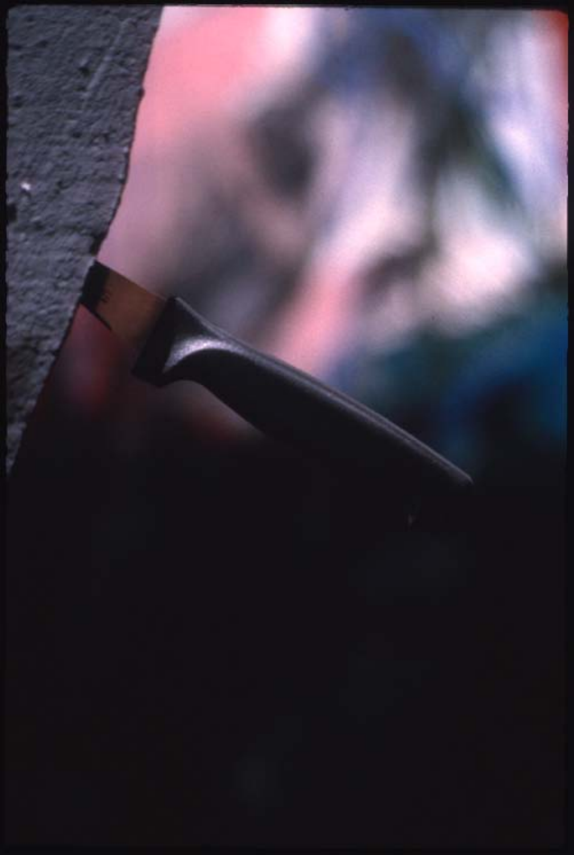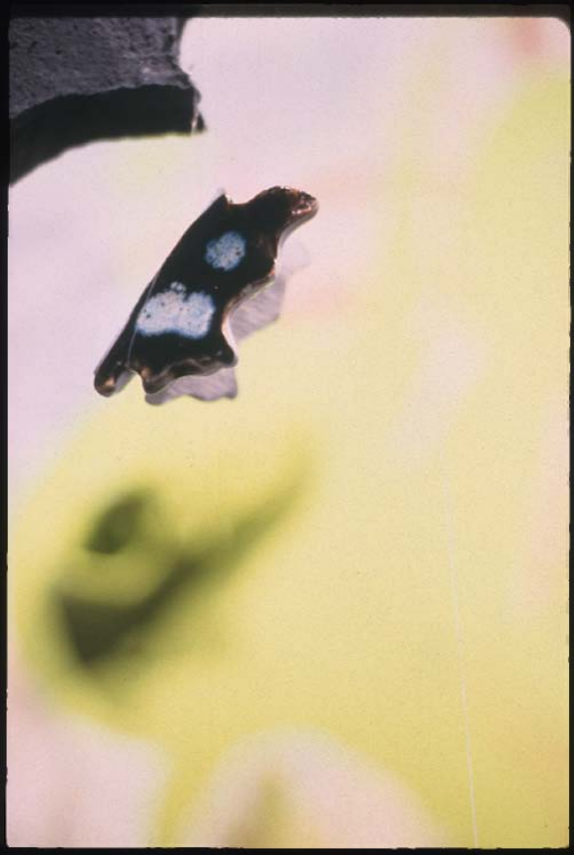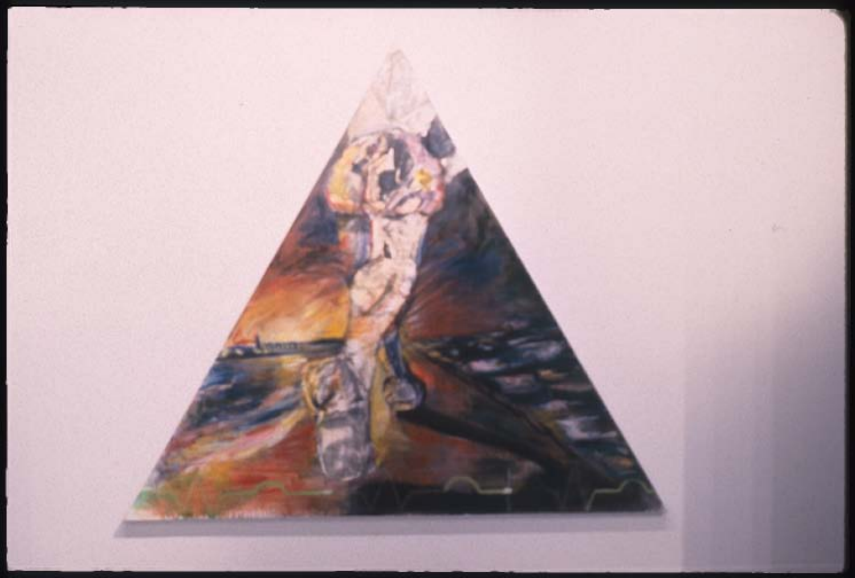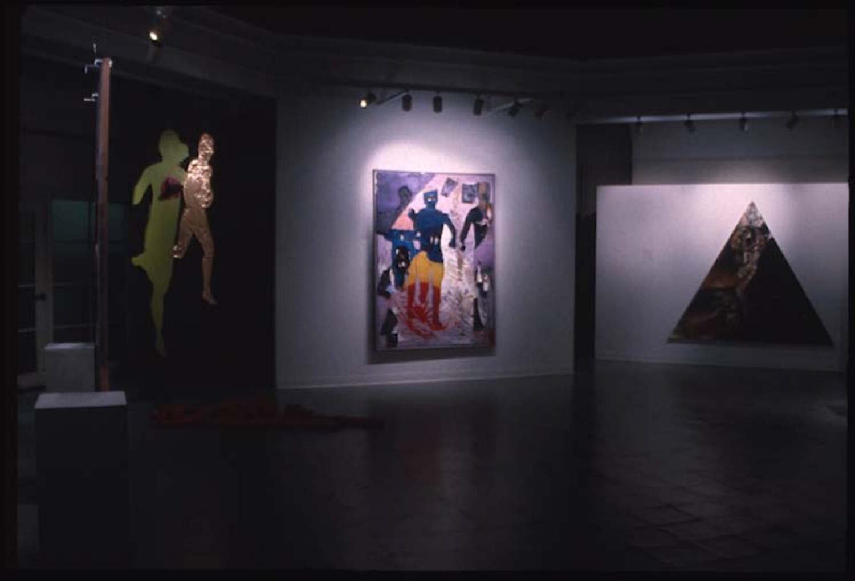